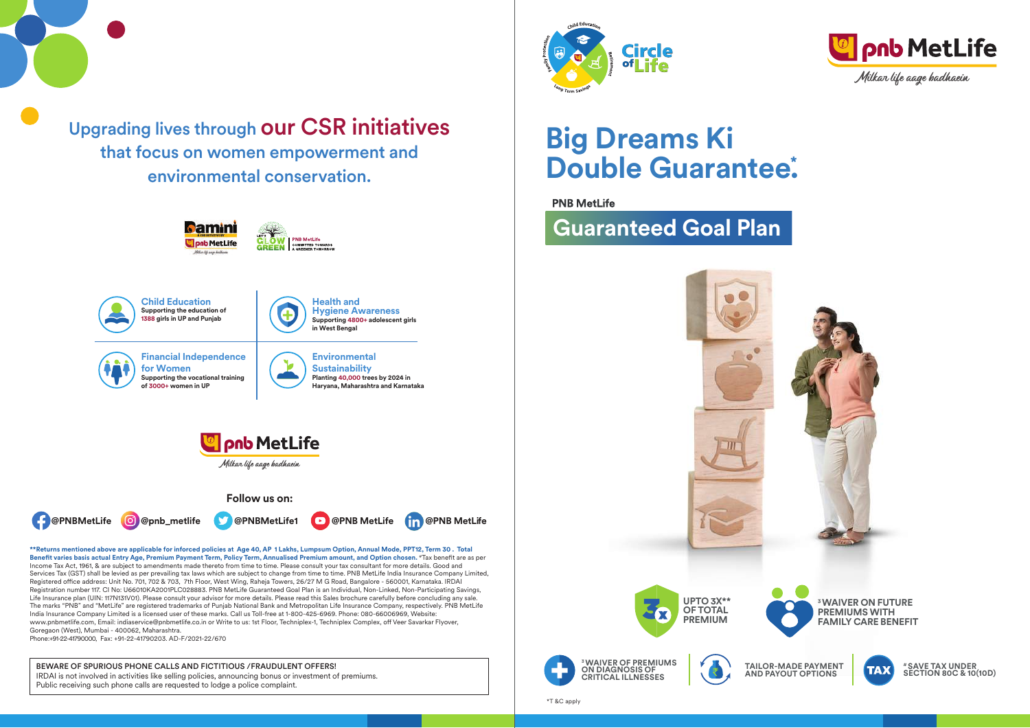Upgrading lives through our CSR initiatives that focus on women empowerment and environmental conservation.



**\*\*Returns mentioned above are applicable for inforced policies at Age 40, AP 1 Lakhs, Lumpsum Option, Annual Mode, PPT12, Term 30 . Total**  Benefit varies basis actual Entry Age, Premium Payment Term, Policy Term, Annualised Premium amount, and Option chosen. <sup>#</sup>Tax benefit are as per Income Tax Act, 1961, & are subject to amendments made thereto from time to time. Please consult your tax consultant for more details. Good and Services Tax (GST) shall be levied as per prevailing tax laws which are subject to change from time to time. PNB MetLife India Insurance Company Limited, Registered office address: Unit No. 701, 702 & 703, 7th Floor, West Wing, Raheja Towers, 26/27 M G Road, Bangalore - 560001, Karnataka. IRDAI Registration number 117. CI No: U66010KA2001PLC028883. PNB MetLife Guaranteed Goal Plan is an Individual, Non-Linked, Non-Participating Savings, Life Insurance plan (UIN: 117N131V01). Please consult your advisor for more details. Please read this Sales brochure carefully before concluding any sale. The marks "PNB" and "MetLife" are registered trademarks of Punjab National Bank and Metropolitan Life Insurance Company, respectively. PNB MetLife India Insurance Company Limited is a licensed user of these marks. Call us Toll-free at 1-800-425-6969. Phone: 080-66006969, Website: www.pnbmetlife.com, Email: indiaservice@pnbmetlife.co.in or Write to us: 1st Floor, Techniplex-1, Techniplex Complex, off Veer Savarkar Flyover, Goregaon (West), Mumbai - 400062, Maharashtra.

Phone:+91-22-41790000, Fax: +91-22-41790203. AD-F/2021-22/670

BEWARE OF SPURIOUS PHONE CALLS AND FICTITIOUS /FRAUDULENT OFFERS! IRDAI is not involved in activities like selling policies, announcing bonus or investment of premiums. Public receiving such phone calls are requested to lodge a police complaint.





# **Big Dreams Ki Double Guarantee. \***

## **PNB MetLife**

## **Guaranteed Goal Plan**

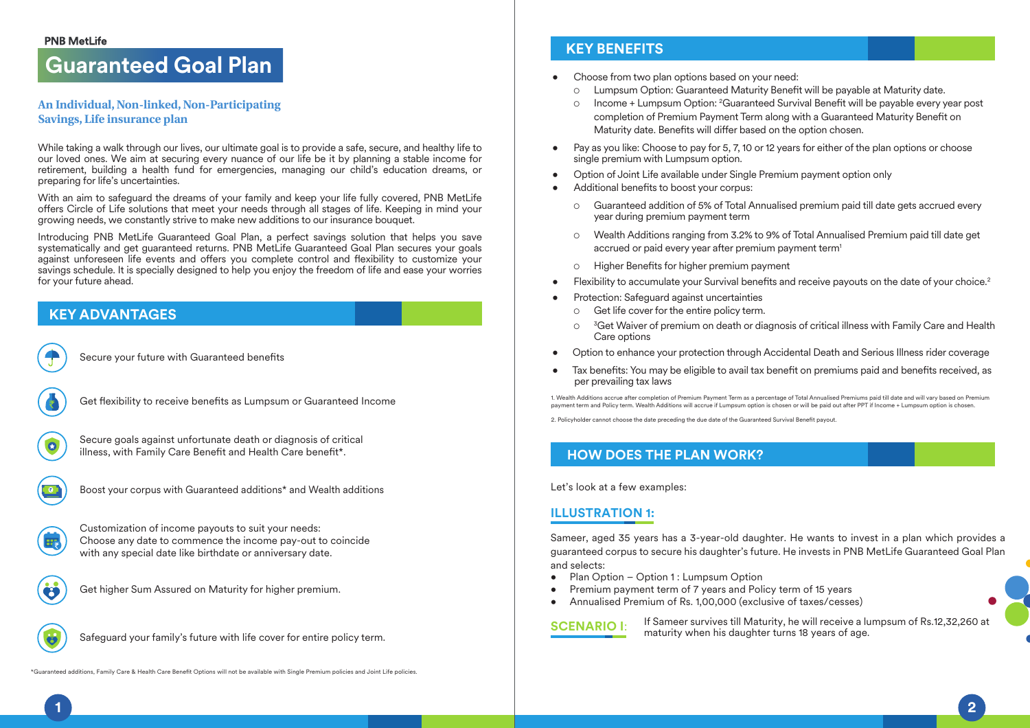## **PNB MetLife**

## **Guaranteed Goal Plan**

## **An Individual, Non-linked, Non-Participating Savings, Life insurance plan**

While taking a walk through our lives, our ultimate goal is to provide a safe, secure, and healthy life to our loved ones. We aim at securing every nuance of our life be it by planning a stable income for retirement, building a health fund for emergencies, managing our child's education dreams, or preparing for life's uncertainties.

With an aim to safeguard the dreams of your family and keep your life fully covered, PNB MetLife offers Circle of Life solutions that meet your needs through all stages of life. Keeping in mind your growing needs, we constantly strive to make new additions to our insurance bouquet.

Introducing PNB MetLife Guaranteed Goal Plan, a perfect savings solution that helps you save systematically and get guaranteed returns. PNB MetLife Guaranteed Goal Plan secures your goals against unforeseen life events and offers you complete control and flexibility to customize your savings schedule. It is specially designed to help you enjoy the freedom of life and ease your worries for your future ahead.

## **KEY ADVANTAGES**



Secure your future with Guaranteed benefits



Get flexibility to receive benefits as Lumpsum or Guaranteed Income



Secure goals against unfortunate death or diagnosis of critical illness, with Family Care Benefit and Health Care benefit\*.



Boost your corpus with Guaranteed additions\* and Wealth additions



Customization of income payouts to suit your needs: Choose any date to commence the income pay-out to coincide with any special date like birthdate or anniversary date.



Get higher Sum Assured on Maturity for higher premium.

Safeguard your family's future with life cover for entire policy term.

\*Guaranteed additions, Family Care & Health Care Benefit Options will not be available with Single Premium policies and Joint Life policies

## **KEY BENEFITS**

- Choose from two plan options based on your need:
	- $\circ$  Lumpsum Option: Guaranteed Maturity Benefit will be payable at Maturity date.
	- Income + Lumpsum Option: <sup>2</sup>Guaranteed Survival Benefit will be payable every year post completion of Premium Payment Term along with a Guaranteed Maturity Benefit on Maturity date. Benefits will differ based on the option chosen.
- Pay as you like: Choose to pay for 5, 7, 10 or 12 years for either of the plan options or choose single premium with Lumpsum option.
- Option of Joint Life available under Single Premium payment option only
- Additional benefits to boost your corpus:
	- Guaranteed addition of 5% of Total Annualised premium paid till date gets accrued every year during premium payment term
	- Wealth Additions ranging from 3.2% to 9% of Total Annualised Premium paid till date get accrued or paid every year after premium payment term<sup>1</sup>
	- $\circ$  Higher Benefits for higher premium payment
- Flexibility to accumulate your Survival benefits and receive payouts on the date of your choice.<sup>2</sup>
- Protection: Safeguard against uncertainties
	- Get life cover for the entire policy term.
	- $\circ$   $\rm{^{3}G}$ et Waiver of premium on death or diagnosis of critical illness with Family Care and Health Care options
- Option to enhance your protection through Accidental Death and Serious Illness rider coverage
- Tax benefits: You may be eligible to avail tax benefit on premiums paid and benefits received, as per prevailing tax laws

1. Wealth Additions accrue after completion of Premium Payment Term as a percentage of Total Annualised Premiums paid till date and will vary based on Premium payment term and Policy term. Wealth Additions will accrue if Lumpsum option is chosen or will be paid out after PPT if Income + Lumpsum option is chosen.

2. Policyholder cannot choose the date preceding the due date of the Guaranteed Survival Benefit payout.

## **HOW DOES THE PLAN WORK?**

Let's look at a few examples:

## **ILLUSTRATION 1:**

Sameer, aged 35 years has a 3-year-old daughter. He wants to invest in a plan which provides a guaranteed corpus to secure his daughter's future. He invests in PNB MetLife Guaranteed Goal Plan and selects:

- Plan Option Option 1 : Lumpsum Option
- Premium payment term of 7 years and Policy term of 15 years
- Annualised Premium of Rs. 1,00,000 (exclusive of taxes/cesses)

**SCENARIO I:** If Sameer survives till Maturity, he will receive a lumpsum of Rs.12,32,260 at maturity when his daughter turns 18 years of age.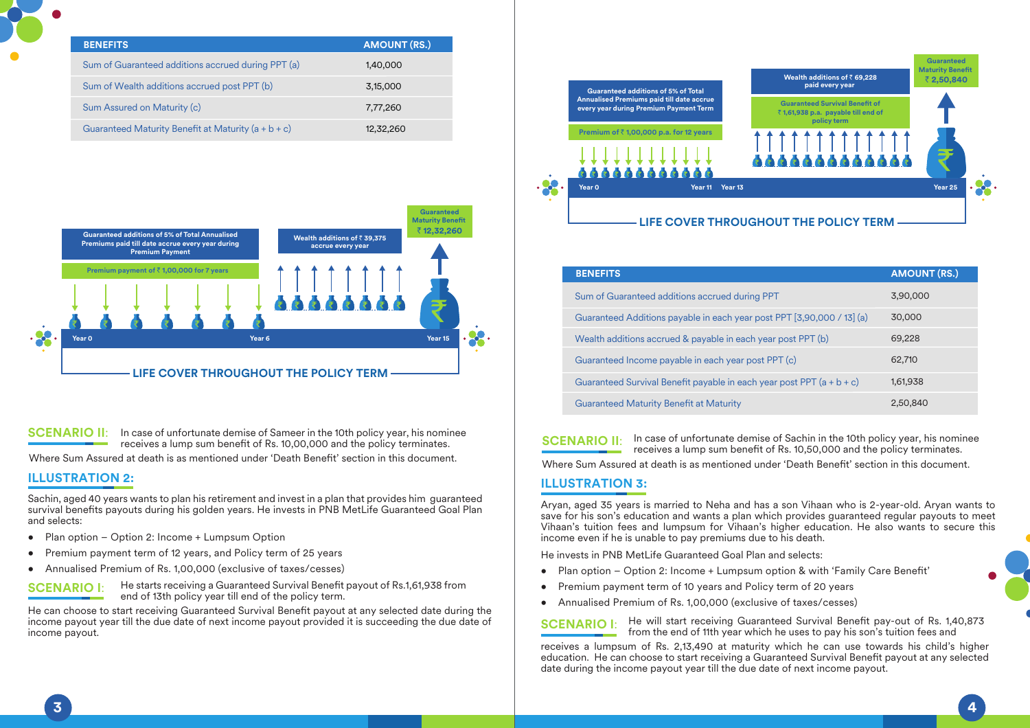| <b>BENEFITS</b>                                       | <b>AMOUNT (RS.)</b> |
|-------------------------------------------------------|---------------------|
| Sum of Guaranteed additions accrued during PPT (a)    | 1,40,000            |
| Sum of Wealth additions accrued post PPT (b)          | 3,15,000            |
| Sum Assured on Maturity (c)                           | 7,77,260            |
| Guaranteed Maturity Benefit at Maturity $(a + b + c)$ | 12,32,260           |



**SCENARIO II:** In case of unfortunate demise of Sameer in the 10th policy year, his nominee<br> **SCENARIO II:** receives a lump sum benefit of Rs. 10.00.000 and the policy terminates. receives a lump sum benefit of Rs. 10,00,000 and the policy terminates.

Where Sum Assured at death is as mentioned under 'Death Benefit' section in this document.

## **ILLUSTRATION 2: ILLUSTRATION 3:**

Sachin, aged 40 years wants to plan his retirement and invest in a plan that provides him guaranteed survival benefits payouts during his golden years. He invests in PNB MetLife Guaranteed Goal Plan and selects:

- Plan option Option 2: Income + Lumpsum Option
- Premium payment term of 12 years, and Policy term of 25 years
- Annualised Premium of Rs. 1,00,000 (exclusive of taxes/cesses)



He starts receiving a Guaranteed Survival Benefit payout of Rs.1,61,938 from end of 13th policy year till end of the policy term.

He can choose to start receiving Guaranteed Survival Benefit payout at any selected date during the income payout year till the due date of next income payout provided it is succeeding the due date of income payout.



| <b>BENEFITS</b>                                                         | <b>AMOUNT (RS.)</b> |
|-------------------------------------------------------------------------|---------------------|
| Sum of Guaranteed additions accrued during PPT                          | 3,90,000            |
| Guaranteed Additions payable in each year post PPT [3,90,000 / 13] (a)  | 30,000              |
| Wealth additions accrued & payable in each year post PPT (b)            | 69,228              |
| Guaranteed Income payable in each year post PPT (c)                     | 62,710              |
| Guaranteed Survival Benefit payable in each year post PPT $(a + b + c)$ | 1,61,938            |
| <b>Guaranteed Maturity Benefit at Maturity</b>                          | 2.50.840            |

In case of unfortunate demise of Sachin in the 10th policy year, his nominee receives a lump sum benefit of Rs. 10,50,000 and the policy terminates.

Where Sum Assured at death is as mentioned under 'Death Benefit' section in this document.

Aryan, aged 35 years is married to Neha and has a son Vihaan who is 2-year-old. Aryan wants to save for his son's education and wants a plan which provides guaranteed regular payouts to meet Vihaan's tuition fees and lumpsum for Vihaan's higher education. He also wants to secure this income even if he is unable to pay premiums due to his death.

He invests in PNB MetLife Guaranteed Goal Plan and selects:

- Plan option Option 2: Income + Lumpsum option & with 'Family Care Benefit'
- Premium payment term of 10 years and Policy term of 20 years
- Annualised Premium of Rs. 1,00,000 (exclusive of taxes/cesses)

**SCENARIO I:** He will start receiving Guaranteed Survival Benefit pay-out of Rs. 1,40,873 from the end of 11th year which he uses to pay his son's tuition fees and

receives a lumpsum of Rs. 2,13,490 at maturity which he can use towards his child's higher education. He can choose to start receiving a Guaranteed Survival Benefit payout at any selected date during the income payout year till the due date of next income payout.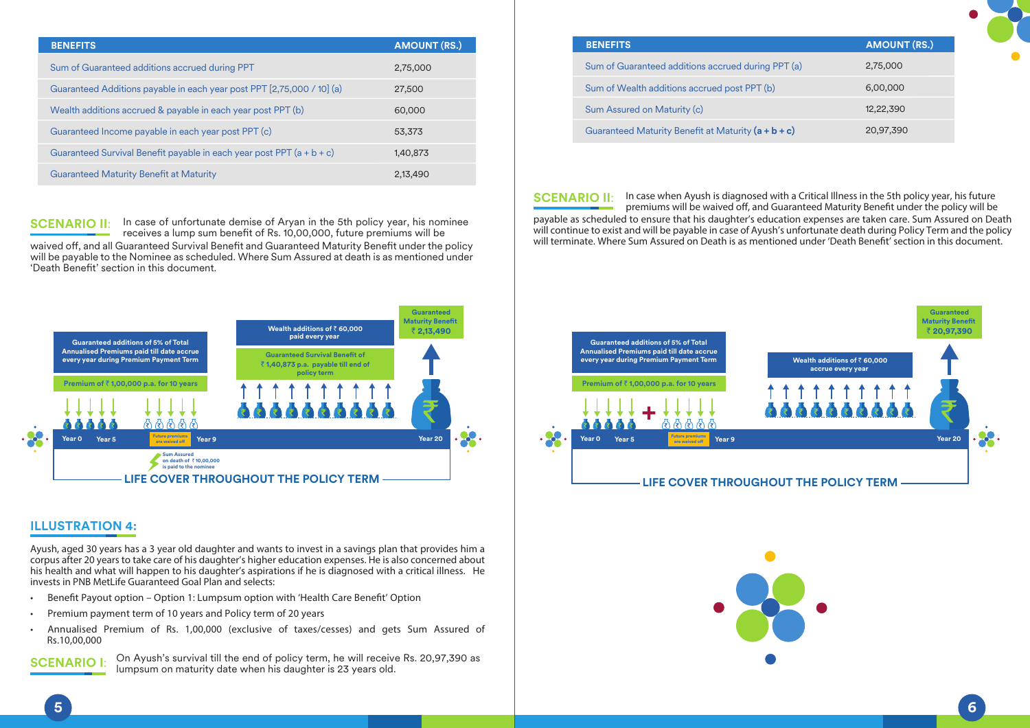| <b>BENEFITS</b>                                                         | <b>AMOUNT (RS.)</b> |
|-------------------------------------------------------------------------|---------------------|
| Sum of Guaranteed additions accrued during PPT                          | 2,75,000            |
| Guaranteed Additions payable in each year post PPT [2,75,000 / 10] (a)  | 27,500              |
| Wealth additions accrued & payable in each year post PPT (b)            | 60,000              |
| Guaranteed Income payable in each year post PPT (c)                     | 53.373              |
| Guaranteed Survival Benefit payable in each year post PPT $(a + b + c)$ | 1,40,873            |
| <b>Guaranteed Maturity Benefit at Maturity</b>                          | 2.13.490            |

In case of unfortunate demise of Aryan in the 5th policy year, his nominee receives a lump sum benefit of Rs. 10,00,000, future premiums will be waived off, and all Guaranteed Survival Benefit and Guaranteed Maturity Benefit under the policy will be payable to the Nominee as scheduled. Where Sum Assured at death is as mentioned under 'Death Benet' section in this document. **SCENARIO II**:



## **ILLUSTRATION 4:**

*Ayush, aged 30 years has a 3 year old daughter and wants to invest in a savings plan that provides him a corpus after 20 years to take care of his daughter's higher education expenses. He is also concerned about his health and what will happen to his daughter's aspirations if he is diagnosed with a critical illness. He invests in PNB MetLife Guaranteed Goal Plan and selects:* 

- Benefit Payout option Option 1: Lumpsum option with 'Health Care Benefit' Option
- *Premium payment term of 10 years and Policy term of 20 years*
- *Annualised Premium of Rs. 1,00,000 (exclusive of taxes/cesses) and gets Sum Assured of Rs.10,00,000*

On Ayush's survival till the end of policy term, he will receive Rs. 20,97,390 as lumpsum on maturity date when his daughter is 23 years old. **SCENARIO I**:

| <b>BENEFITS</b>                                       | <b>AMOUNT (RS.)</b> |
|-------------------------------------------------------|---------------------|
| Sum of Guaranteed additions accrued during PPT (a)    | 2,75,000            |
| Sum of Wealth additions accrued post PPT (b)          | 6,00,000            |
| Sum Assured on Maturity (c)                           | 12,22,390           |
| Guaranteed Maturity Benefit at Maturity $(a + b + c)$ | 20,97,390           |

**SCENARIO II:** In case when Ayush is diagnosed with a Critical Illness in the 5th policy year, his future premiums will be waived off, and Guaranteed Maturity Benefit under the policy will be *payable as scheduled to ensure that his daughter's education expenses are taken care. Sum Assured on Death will continue to exist and will be payable in case of Ayush's unfortunate death during Policy Term and the policy will terminate. Where Sum Assured on Death is as mentioned under 'Death Benet' section in this document.*



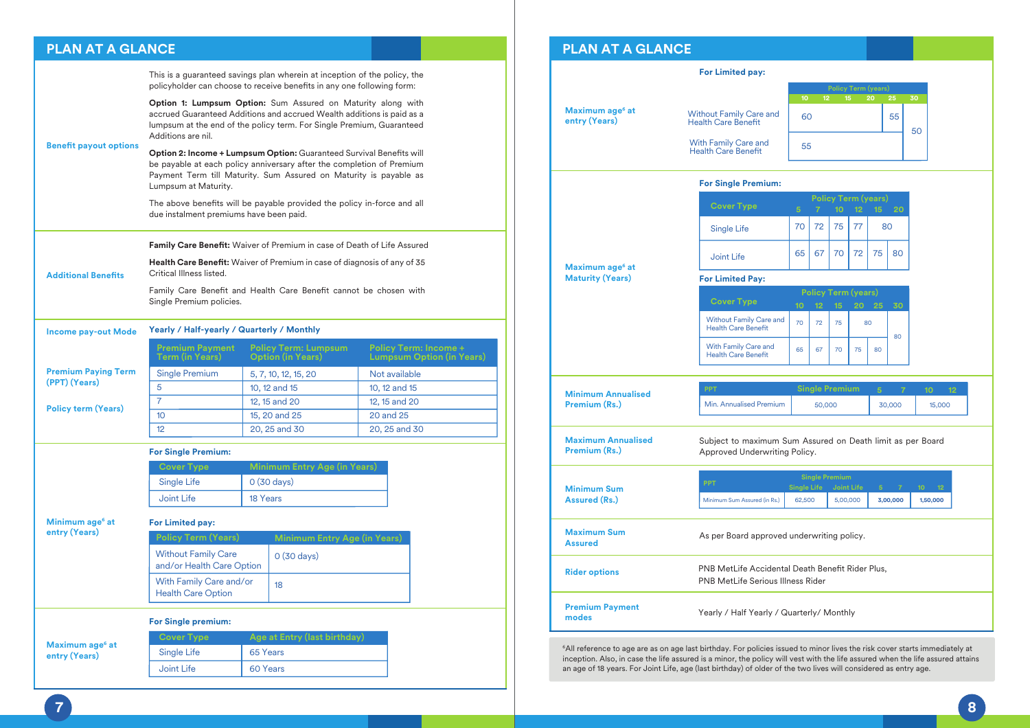## **PLAN AT A GLANCE**

|                               | This is a guaranteed savings plan wherein at inception of the policy, the<br>policyholder can choose to receive benefits in any one following form:                                                                                          |          |                                                             |                            |                                                                  |
|-------------------------------|----------------------------------------------------------------------------------------------------------------------------------------------------------------------------------------------------------------------------------------------|----------|-------------------------------------------------------------|----------------------------|------------------------------------------------------------------|
|                               | <b>Option 1: Lumpsum Option:</b> Sum Assured on Maturity along with<br>accrued Guaranteed Additions and accrued Wealth additions is paid as a<br>lumpsum at the end of the policy term. For Single Premium, Guaranteed<br>Additions are nil. |          |                                                             |                            |                                                                  |
| <b>Benefit payout options</b> | Option 2: Income + Lumpsum Option: Guaranteed Survival Benefits will<br>be payable at each policy anniversary after the completion of Premium<br>Payment Term till Maturity. Sum Assured on Maturity is payable as<br>Lumpsum at Maturity.   |          |                                                             |                            |                                                                  |
|                               | The above benefits will be payable provided the policy in-force and all<br>due instalment premiums have been paid.                                                                                                                           |          |                                                             |                            |                                                                  |
|                               | <b>Family Care Benefit:</b> Waiver of Premium in case of Death of Life Assured                                                                                                                                                               |          |                                                             |                            |                                                                  |
| <b>Additional Benefits</b>    | Health Care Benefit: Waiver of Premium in case of diagnosis of any of 35<br>Critical Illness listed.                                                                                                                                         |          |                                                             |                            |                                                                  |
|                               | Family Care Benefit and Health Care Benefit cannot be chosen with<br>Single Premium policies.                                                                                                                                                |          |                                                             |                            |                                                                  |
| <b>Income pay-out Mode</b>    | Yearly / Half-yearly / Quarterly / Monthly                                                                                                                                                                                                   |          |                                                             |                            |                                                                  |
|                               |                                                                                                                                                                                                                                              |          |                                                             |                            |                                                                  |
|                               | <b>Premium Payment</b><br>Term (in Years)                                                                                                                                                                                                    |          | <b>Policy Term: Lumpsum</b><br><b>Option (in Years)</b>     |                            | <b>Policy Term: Income +</b><br><b>Lumpsum Option (in Years)</b> |
| <b>Premium Paying Term</b>    | <b>Single Premium</b>                                                                                                                                                                                                                        |          | 5, 7, 10, 12, 15, 20                                        | Not available              |                                                                  |
| (PPT) (Years)                 | 5                                                                                                                                                                                                                                            |          | 10, 12 and 15                                               | 10, 12 and 15              |                                                                  |
| <b>Policy term (Years)</b>    | $\overline{7}$                                                                                                                                                                                                                               |          | 12, 15 and 20                                               | 12, 15 and 20              |                                                                  |
|                               | 10 <sup>10</sup><br>12                                                                                                                                                                                                                       |          | 15, 20 and 25<br>20, 25 and 30                              | 20 and 25<br>20, 25 and 30 |                                                                  |
|                               |                                                                                                                                                                                                                                              |          |                                                             |                            |                                                                  |
|                               | <b>For Single Premium:</b>                                                                                                                                                                                                                   |          |                                                             |                            |                                                                  |
|                               | <b>Cover Type</b><br>Single Life                                                                                                                                                                                                             |          | <b>Minimum Entry Age (in Years)</b><br>$0(30 \text{ days})$ |                            |                                                                  |
|                               | Joint Life                                                                                                                                                                                                                                   | 18 Years |                                                             |                            |                                                                  |
| Minimum age <sup>6</sup> at   |                                                                                                                                                                                                                                              |          |                                                             |                            |                                                                  |
| entry (Years)                 | For Limited pay:<br><b>Policy Term (Years)</b>                                                                                                                                                                                               |          |                                                             |                            |                                                                  |
|                               | <b>Without Family Care</b><br>and/or Health Care Option                                                                                                                                                                                      |          | <b>Minimum Entry Age (in Years)</b><br>$0(30 \text{ days})$ |                            |                                                                  |
|                               | With Family Care and/or<br><b>Health Care Option</b>                                                                                                                                                                                         |          | 18                                                          |                            |                                                                  |

## **For Single premium:**

|                                              | <b>Cover Type</b> | Age at Entry (last birthday) |
|----------------------------------------------|-------------------|------------------------------|
| Maximum age <sup>6</sup> at<br>entry (Years) | Single Life       | 65 Years                     |
|                                              | Joint Life        | 60 Years                     |

## **PLAN AT A GLANCE**

|                                                        | For Limited pay:                                                                                                                          |                 |  |
|--------------------------------------------------------|-------------------------------------------------------------------------------------------------------------------------------------------|-----------------|--|
|                                                        | <b>Policy Term (years)</b><br>$10-10$<br>$12 \t 15 \t 20$<br>25<br>30                                                                     |                 |  |
| Maximum age <sup>6</sup> at<br>entry (Years)           | <b>Without Family Care and</b><br>60<br>55<br><b>Health Care Benefit</b><br>50                                                            |                 |  |
|                                                        | <b>With Family Care and</b><br>55<br><b>Health Care Benefit</b>                                                                           |                 |  |
|                                                        | <b>For Single Premium:</b>                                                                                                                |                 |  |
|                                                        | <b>Policy Term (years)</b><br><b>Cover Type</b><br>5 <sup>5</sup><br>$\mathbf{7}$<br>10<br>12 <sub>2</sub><br>$15-$<br>20                 |                 |  |
|                                                        | 75<br>70<br>72<br>77<br>80<br><b>Single Life</b>                                                                                          |                 |  |
|                                                        | 65<br>67<br>70<br>72<br>75<br>80<br><b>Joint Life</b>                                                                                     |                 |  |
| Maximum age <sup>6</sup> at<br><b>Maturity (Years)</b> | <b>For Limited Pay:</b>                                                                                                                   |                 |  |
|                                                        | <b>Policy Term (years)</b><br><b>Cover Type</b>                                                                                           |                 |  |
|                                                        | 10 <sub>10</sub><br>12 <sub>2</sub><br>20 25<br>30<br>15<br>Without Family Care and<br>70<br>72<br>75<br>80<br><b>Health Care Benefit</b> |                 |  |
|                                                        | 80<br>With Family Care and<br>65<br>67<br>70<br>75<br>80<br><b>Health Care Benefit</b>                                                    |                 |  |
|                                                        |                                                                                                                                           |                 |  |
| <b>Minimum Annualised</b>                              | PPT<br><b>Single Premium</b><br>5 <sup>1</sup><br>$\overline{7}$<br>10 <sub>1</sub>                                                       | 12 <sub>2</sub> |  |
| Premium (Rs.)                                          | Min. Annualised Premium<br>30,000<br>15,000<br>50,000                                                                                     |                 |  |
| <b>Maximum Annualised</b><br>Premium (Rs.)             | Subject to maximum Sum Assured on Death limit as per Board<br>Approved Underwriting Policy.                                               |                 |  |
| <b>Minimum Sum</b>                                     | <b>Single Premium</b><br><b>PPT</b><br><b>Single Life</b><br><b>Joint Life</b><br>5 <sup>1</sup><br>$\mathbf{7}$<br>10 <sub>1</sub><br>12 |                 |  |
| <b>Assured (Rs.)</b>                                   | 3,00,000<br>62,500<br>1,50,000<br>Minimum Sum Assured (in Rs.)<br>5,00,000                                                                |                 |  |
| <b>Maximum Sum</b><br><b>Assured</b>                   | As per Board approved underwriting policy.                                                                                                |                 |  |
| <b>Rider options</b>                                   | PNB MetLife Accidental Death Benefit Rider Plus,<br>PNB MetLife Serious Illness Rider                                                     |                 |  |
| <b>Premium Payment</b><br>modes                        | Yearly / Half Yearly / Quarterly/ Monthly                                                                                                 |                 |  |

6All reference to age are as on age last birthday. For policies issued to minor lives the risk cover starts immediately at inception. Also, in case the life assured is a minor, the policy will vest with the life assured when the life assured attains an age of 18 years. For Joint Life, age (last birthday) of older of the two lives will considered as entry age.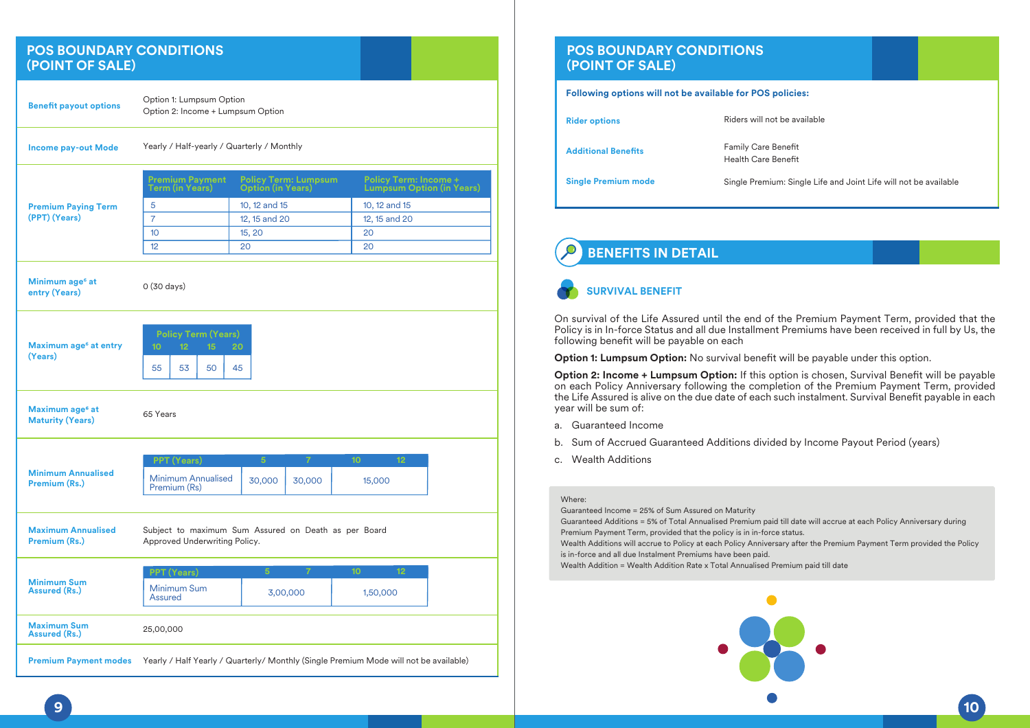## **POS BOUNDARY CONDITIONS (POINT OF SALE)**

| <b>Benefit payout options</b>                          | Option 1: Lumpsum Option<br>Option 2: Income + Lumpsum Option                            |                          |                             |                                                                                       |  |
|--------------------------------------------------------|------------------------------------------------------------------------------------------|--------------------------|-----------------------------|---------------------------------------------------------------------------------------|--|
| <b>Income pay-out Mode</b>                             | Yearly / Half-yearly / Quarterly / Monthly                                               |                          |                             |                                                                                       |  |
|                                                        | <b>Premium Payment</b><br><b>Term (in Years)</b>                                         | <b>Option (in Years)</b> | <b>Policy Term: Lumpsum</b> | <b>Policy Term: Income +</b><br><b>Lumpsum Option (in Years)</b>                      |  |
| <b>Premium Paying Term</b>                             | 5                                                                                        | 10, 12 and 15            |                             | 10, 12 and 15                                                                         |  |
| (PPT) (Years)                                          | $\overline{7}$                                                                           | 12, 15 and 20            |                             | 12, 15 and 20                                                                         |  |
|                                                        | 10                                                                                       | 15, 20                   |                             | 20                                                                                    |  |
|                                                        | 12                                                                                       | 20                       |                             | 20                                                                                    |  |
| Minimum age <sup>6</sup> at<br>entry (Years)           | $0(30 \text{ days})$                                                                     |                          |                             |                                                                                       |  |
| Maximum age <sup>6</sup> at entry<br>(Years)           | <b>Policy Term (Years)</b><br>10 <sup>1</sup><br>12 <sub>2</sub><br>15<br>55<br>53<br>50 | 20<br>45                 |                             |                                                                                       |  |
| Maximum age <sup>6</sup> at<br><b>Maturity (Years)</b> | 65 Years                                                                                 |                          |                             |                                                                                       |  |
|                                                        |                                                                                          |                          |                             |                                                                                       |  |
|                                                        | <b>PPT (Years)</b>                                                                       | 5 <sup>1</sup>           | $\overline{7}$              | 10 <sub>10</sub><br>12                                                                |  |
| <b>Minimum Annualised</b><br>Premium (Rs.)             | <b>Minimum Annualised</b><br>Premium (Rs)                                                | 30,000                   | 30,000                      | 15,000                                                                                |  |
| <b>Maximum Annualised</b><br>Premium (Rs.)             | Subject to maximum Sum Assured on Death as per Board<br>Approved Underwriting Policy.    |                          |                             |                                                                                       |  |
|                                                        | <b>PPT (Years)</b>                                                                       | $\overline{5}$           | 7                           | 12<br>10                                                                              |  |
| <b>Minimum Sum</b><br><b>Assured (Rs.)</b>             | Minimum Sum<br><b>Assured</b>                                                            |                          | 3,00,000                    | 1,50,000                                                                              |  |
| <b>Maximum Sum</b><br><b>Assured (Rs.)</b>             | 25,00,000                                                                                |                          |                             |                                                                                       |  |
| <b>Premium Payment modes</b>                           |                                                                                          |                          |                             | Yearly / Half Yearly / Quarterly/ Monthly (Single Premium Mode will not be available) |  |

## **POS BOUNDARY CONDITIONS (POINT OF SALE) Following options will not be available for POS policies: Rider options Additional Benets** Riders will not be available Family Care Benefit Health Care Benefit

**Single Premium mode** Single Premium: Single Life and Joint Life will not be available

## **BENEFITS IN DETAIL**

## **SURVIVAL BENEFIT**

On survival of the Life Assured until the end of the Premium Payment Term, provided that the Policy is in In-force Status and all due Installment Premiums have been received in full by Us, the following benefit will be payable on each

**Option 1: Lumpsum Option:** No survival benefit will be payable under this option.

**Option 2: Income + Lumpsum Option:** If this option is chosen, Survival Benefit will be payable on each Policy Anniversary following the completion of the Premium Payment Term, provided the Life Assured is alive on the due date of each such instalment. Survival Benefit payable in each year will be sum of:

- a. Guaranteed Income
- b. Sum of Accrued Guaranteed Additions divided by Income Payout Period (years)
- c. Wealth Additions

#### Where:

Guaranteed Income = 25% of Sum Assured on Maturity

Guaranteed Additions = 5% of Total Annualised Premium paid till date will accrue at each Policy Anniversary during Premium Payment Term, provided that the policy is in in-force status.

Wealth Additions will accrue to Policy at each Policy Anniversary after the Premium Payment Term provided the Policy is in-force and all due Instalment Premiums have been paid.

Wealth Addition = Wealth Addition Rate x Total Annualised Premium paid till date

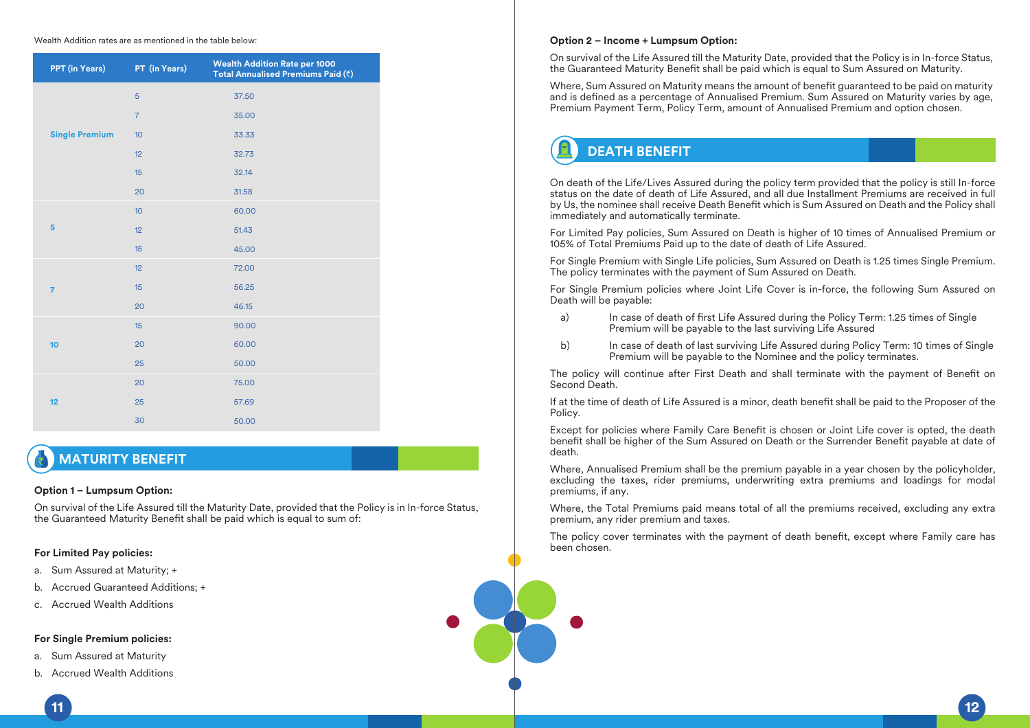#### Wealth Addition rates are as mentioned in the table below:

| PPT (in Years)        | PT (in Years)  | <b>Wealth Addition Rate per 1000</b><br>Total Annualised Premiums Paid (₹) |
|-----------------------|----------------|----------------------------------------------------------------------------|
|                       | 5              | 37.50                                                                      |
|                       | $\overline{7}$ | 35.00                                                                      |
| <b>Single Premium</b> | 10             | 33.33                                                                      |
|                       | 12             | 32.73                                                                      |
|                       | 15             | 32.14                                                                      |
|                       | 20             | 31.58                                                                      |
|                       | 10             | 60.00                                                                      |
| 5                     | 12             | 51.43                                                                      |
|                       | 15             | 45.00                                                                      |
|                       | 12             | 72.00                                                                      |
| $\overline{7}$        | 15             | 56.25                                                                      |
|                       | 20             | 46.15                                                                      |
|                       | 15             | 90.00                                                                      |
| 10                    | 20             | 60.00                                                                      |
|                       | 25             | 50.00                                                                      |
|                       | 20             | 75.00                                                                      |
| 12                    | 25             | 57.69                                                                      |
|                       | 30             | 50.00                                                                      |

## **MATURITY BENEFIT**

#### **Option 1 – Lumpsum Option:**

On survival of the Life Assured till the Maturity Date, provided that the Policy is in In-force Status, the Guaranteed Maturity Benefit shall be paid which is equal to sum of:

### **For Limited Pay policies:**

- a. Sum Assured at Maturity; +
- b. Accrued Guaranteed Additions; +
- c. Accrued Wealth Additions

#### **For Single Premium policies:**

- a. Sum Assured at Maturity
- b. Accrued Wealth Additions

#### **Option 2 – Income + Lumpsum Option:**

On survival of the Life Assured till the Maturity Date, provided that the Policy is in In-force Status, the Guaranteed Maturity Benefit shall be paid which is equal to Sum Assured on Maturity.

Where, Sum Assured on Maturity means the amount of benefit guaranteed to be paid on maturity and is defined as a percentage of Annualised Premium. Sum Assured on Maturity varies by age, Premium Payment Term, Policy Term, amount of Annualised Premium and option chosen.

## **DEATH BENEFIT**

On death of the Life/Lives Assured during the policy term provided that the policy is still In-force status on the date of death of Life Assured, and all due Installment Premiums are received in full by Us, the nominee shall receive Death Benefit which is Sum Assured on Death and the Policy shall immediately and automatically terminate.

For Limited Pay policies, Sum Assured on Death is higher of 10 times of Annualised Premium or 105% of Total Premiums Paid up to the date of death of Life Assured.

For Single Premium with Single Life policies, Sum Assured on Death is 1.25 times Single Premium. The policy terminates with the payment of Sum Assured on Death.

For Single Premium policies where Joint Life Cover is in-force, the following Sum Assured on Death will be payable:

- a) In case of death of first Life Assured during the Policy Term: 1.25 times of Single Premium will be payable to the last surviving Life Assured
- b) In case of death of last surviving Life Assured during Policy Term: 10 times of Single Premium will be payable to the Nominee and the policy terminates.

The policy will continue after First Death and shall terminate with the payment of Benefit on Second Death.

If at the time of death of Life Assured is a minor, death benefit shall be paid to the Proposer of the Policy.

Except for policies where Family Care Benefit is chosen or Joint Life cover is opted, the death benefit shall be higher of the Sum Assured on Death or the Surrender Benefit payable at date of death.

Where, Annualised Premium shall be the premium payable in a year chosen by the policyholder, excluding the taxes, rider premiums, underwriting extra premiums and loadings for modal premiums, if any.

Where, the Total Premiums paid means total of all the premiums received, excluding any extra premium, any rider premium and taxes.

The policy cover terminates with the payment of death benefit, except where Family care has been chosen.

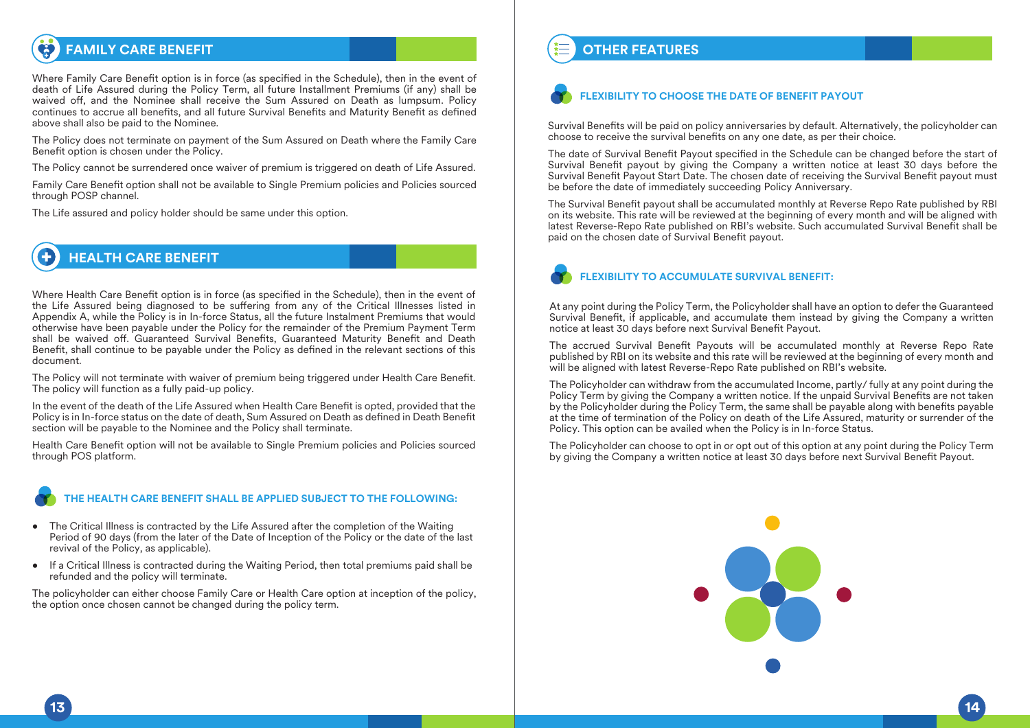## **FAMILY CARE BENEFIT**

Where Family Care Benefit option is in force (as specified in the Schedule), then in the event of death of Life Assured during the Policy Term, all future Installment Premiums (if any) shall be waived off, and the Nominee shall receive the Sum Assured on Death as lumpsum. Policy continues to accrue all benefits, and all future Survival Benefits and Maturity Benefit as defined above shall also be paid to the Nominee.

The Policy does not terminate on payment of the Sum Assured on Death where the Family Care Benefit option is chosen under the Policy.

The Policy cannot be surrendered once waiver of premium is triggered on death of Life Assured.

Family Care Benefit option shall not be available to Single Premium policies and Policies sourced through POSP channel.

The Life assured and policy holder should be same under this option.

## **HEALTH CARE BENEFIT**

Where Health Care Benefit option is in force (as specified in the Schedule), then in the event of the Life Assured being diagnosed to be suffering from any of the Critical Illnesses listed in Appendix A, while the Policy is in In-force Status, all the future Instalment Premiums that would otherwise have been payable under the Policy for the remainder of the Premium Payment Term shall be waived off. Guaranteed Survival Benefits, Guaranteed Maturity Benefit and Death Benefit, shall continue to be payable under the Policy as defined in the relevant sections of this document.

The Policy will not terminate with waiver of premium being triggered under Health Care Benet. The policy will function as a fully paid-up policy.

In the event of the death of the Life Assured when Health Care Benefit is opted, provided that the Policy is in In-force status on the date of death, Sum Assured on Death as defined in Death Benefit section will be payable to the Nominee and the Policy shall terminate.

Health Care Benefit option will not be available to Single Premium policies and Policies sourced through POS platform.

## **THE HEALTH CARE BENEFIT SHALL BE APPLIED SUBJECT TO THE FOLLOWING:**

- The Critical Illness is contracted by the Life Assured after the completion of the Waiting Period of 90 days (from the later of the Date of Inception of the Policy or the date of the last revival of the Policy, as applicable).
- If a Critical Illness is contracted during the Waiting Period, then total premiums paid shall be refunded and the policy will terminate.

The policyholder can either choose Family Care or Health Care option at inception of the policy, the option once chosen cannot be changed during the policy term.

## **OTHER FEATURES**

## **FLEXIBILITY TO CHOOSE THE DATE OF BENEFIT PAYOUT**

Survival Benefits will be paid on policy anniversaries by default. Alternatively, the policyholder can choose to receive the survival benefits on any one date, as per their choice.

The date of Survival Benefit Payout specified in the Schedule can be changed before the start of Survival Benefit payout by giving the Company a written notice at least 30 days before the Survival Benefit Payout Start Date. The chosen date of receiving the Survival Benefit payout must be before the date of immediately succeeding Policy Anniversary.

The Survival Benefit payout shall be accumulated monthly at Reverse Repo Rate published by RBI on its website. This rate will be reviewed at the beginning of every month and will be aligned with latest Reverse-Repo Rate published on RBI's website. Such accumulated Survival Benefit shall be paid on the chosen date of Survival Benefit payout.

## **FLEXIBILITY TO ACCUMULATE SURVIVAL BENEFIT:**

At any point during the Policy Term, the Policyholder shall have an option to defer the Guaranteed Survival Benefit, if applicable, and accumulate them instead by giving the Company a written notice at least 30 days before next Survival Benefit Payout.

The accrued Survival Benefit Payouts will be accumulated monthly at Reverse Repo Rate published by RBI on its website and this rate will be reviewed at the beginning of every month and will be aligned with latest Reverse-Repo Rate published on RBI's website.

The Policyholder can withdraw from the accumulated Income, partly/ fully at any point during the Policy Term by giving the Company a written notice. If the unpaid Survival Benefits are not taken by the Policyholder during the Policy Term, the same shall be payable along with benefits payable at the time of termination of the Policy on death of the Life Assured, maturity or surrender of the Policy. This option can be availed when the Policy is in In-force Status.

The Policyholder can choose to opt in or opt out of this option at any point during the Policy Term by giving the Company a written notice at least 30 days before next Survival Benefit Payout.

![](_page_7_Picture_25.jpeg)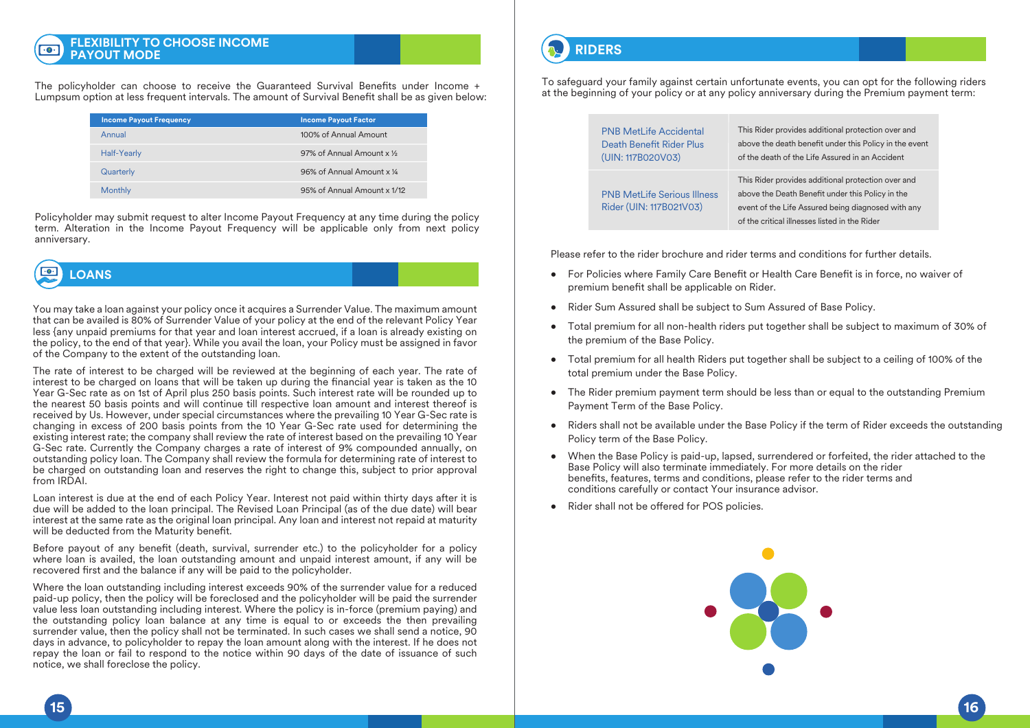#### **FLEXIBILITY TO CHOOSE INCOME**   $\overline{\cdot \bullet \cdot}$ **PAYOUT MODE**

The policyholder can choose to receive the Guaranteed Survival Benefits under Income  $+$ Lumpsum option at less frequent intervals. The amount of Survival Benefit shall be as given below:

| <b>Income Payout Frequency</b> | <b>Income Payout Factor</b> |
|--------------------------------|-----------------------------|
| Annual                         | 100% of Annual Amount       |
| <b>Half-Yearly</b>             | 97% of Annual Amount x 1/2  |
| Quarterly                      | 96% of Annual Amount x 1/4  |
| <b>Monthly</b>                 | 95% of Annual Amount x 1/12 |

Policyholder may submit request to alter Income Payout Frequency at any time during the policy term. Alteration in the Income Payout Frequency will be applicable only from next policy anniversary.

## $\cdot \bullet \cdot$ **LOANS**

You may take a loan against your policy once it acquires a Surrender Value. The maximum amount that can be availed is 80% of Surrender Value of your policy at the end of the relevant Policy Year less {any unpaid premiums for that year and loan interest accrued, if a loan is already existing on the policy, to the end of that year}. While you avail the loan, your Policy must be assigned in favor of the Company to the extent of the outstanding loan.

The rate of interest to be charged will be reviewed at the beginning of each year. The rate of interest to be charged on loans that will be taken up during the financial year is taken as the 10 Year G-Sec rate as on 1st of April plus 250 basis points. Such interest rate will be rounded up to the nearest 50 basis points and will continue till respective loan amount and interest thereof is received by Us. However, under special circumstances where the prevailing 10 Year G-Sec rate is changing in excess of 200 basis points from the 10 Year G-Sec rate used for determining the existing interest rate; the company shall review the rate of interest based on the prevailing 10 Year G-Sec rate. Currently the Company charges a rate of interest of 9% compounded annually, on outstanding policy loan. The Company shall review the formula for determining rate of interest to be charged on outstanding loan and reserves the right to change this, subject to prior approval from IRDAI.

Loan interest is due at the end of each Policy Year. Interest not paid within thirty days after it is due will be added to the loan principal. The Revised Loan Principal (as of the due date) will bear interest at the same rate as the original loan principal. Any loan and interest not repaid at maturity will be deducted from the Maturity benefit.

Before payout of any benefit (death, survival, surrender etc.) to the policyholder for a policy where loan is availed, the loan outstanding amount and unpaid interest amount, if any will be recovered first and the balance if any will be paid to the policyholder.

Where the loan outstanding including interest exceeds 90% of the surrender value for a reduced paid-up policy, then the policy will be foreclosed and the policyholder will be paid the surrender value less loan outstanding including interest. Where the policy is in-force (premium paying) and the outstanding policy loan balance at any time is equal to or exceeds the then prevailing surrender value, then the policy shall not be terminated. In such cases we shall send a notice, 90 days in advance, to policyholder to repay the loan amount along with the interest. If he does not repay the loan or fail to respond to the notice within 90 days of the date of issuance of such notice, we shall foreclose the policy.

## **RIDERS**

To safeguard your family against certain unfortunate events, you can opt for the following riders at the beginning of your policy or at any policy anniversary during the Premium payment term:

| <b>PNB MetLife Accidental</b>                                 | This Rider provides additional protection over and                                                                                                                                                            |
|---------------------------------------------------------------|---------------------------------------------------------------------------------------------------------------------------------------------------------------------------------------------------------------|
| Death Benefit Rider Plus                                      | above the death benefit under this Policy in the event                                                                                                                                                        |
| (UIN: 117B020V03)                                             | of the death of the Life Assured in an Accident                                                                                                                                                               |
| <b>PNB MetLife Serious Illness</b><br>Rider (UIN: 117B021V03) | This Rider provides additional protection over and<br>above the Death Benefit under this Policy in the<br>event of the Life Assured being diagnosed with any<br>of the critical illnesses listed in the Rider |

Please refer to the rider brochure and rider terms and conditions for further details.

- For Policies where Family Care Benefit or Health Care Benefit is in force, no waiver of premium benefit shall be applicable on Rider.
- Rider Sum Assured shall be subject to Sum Assured of Base Policy.
- Total premium for all non-health riders put together shall be subject to maximum of 30% of the premium of the Base Policy.
- Total premium for all health Riders put together shall be subject to a ceiling of 100% of the total premium under the Base Policy.
- The Rider premium payment term should be less than or equal to the outstanding Premium Payment Term of the Base Policy.
- Riders shall not be available under the Base Policy if the term of Rider exceeds the outstanding Policy term of the Base Policy.
- When the Base Policy is paid-up, lapsed, surrendered or forfeited, the rider attached to the Base Policy will also terminate immediately. For more details on the rider benefits, features, terms and conditions, please refer to the rider terms and conditions carefully or contact Your insurance advisor.
- Rider shall not be offered for POS policies.

![](_page_8_Picture_22.jpeg)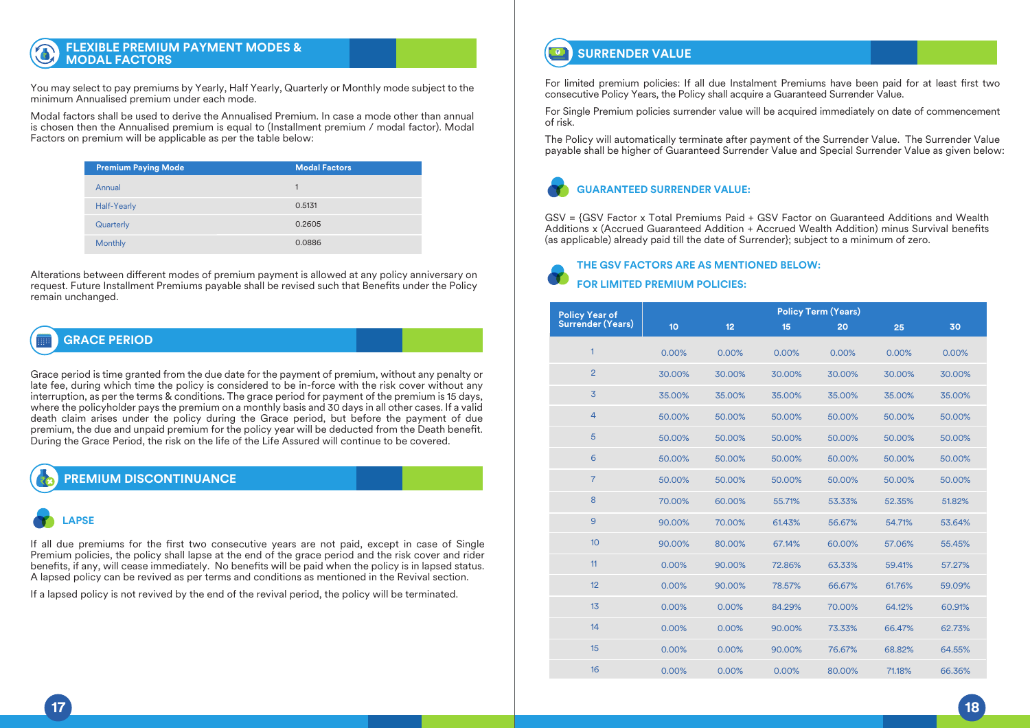## **FLEXIBLE PREMIUM PAYMENT MODES & MODAL FACTORS**

You may select to pay premiums by Yearly, Half Yearly, Quarterly or Monthly mode subject to the minimum Annualised premium under each mode.

Modal factors shall be used to derive the Annualised Premium. In case a mode other than annual is chosen then the Annualised premium is equal to (Installment premium / modal factor). Modal Factors on premium will be applicable as per the table below:

| <b>Premium Paying Mode</b> | <b>Modal Factors</b> |
|----------------------------|----------------------|
| Annual                     | 1                    |
| Half-Yearly                | 0.5131               |
| Quarterly                  | 0.2605               |
| <b>Monthly</b>             | 0.0886               |

Alterations between different modes of premium payment is allowed at any policy anniversary on request. Future Installment Premiums payable shall be revised such that Benefits under the Policy remain unchanged.

## **GRACE PERIOD**

Grace period is time granted from the due date for the payment of premium, without any penalty or late fee, during which time the policy is considered to be in-force with the risk cover without any interruption, as per the terms & conditions. The grace period for payment of the premium is 15 days, where the policyholder pays the premium on a monthly basis and 30 days in all other cases. If a valid death claim arises under the policy during the Grace period, but before the payment of due premium, the due and unpaid premium for the policy year will be deducted from the Death benefit. During the Grace Period, the risk on the life of the Life Assured will continue to be covered.

## **Policy Year of PREMIUM DISCONTINUANCE**

90.00%

## 1 **LAPSE**

If all due premiums for the first two consecutive years are not paid, except in case of Single benefits, if any, will cease immediately. No benefits will be paid when the policy is in lapsed status. Premium policies, the policy shall lapse at the end of the grace period and the risk cover and rider A lapsed policy can be revived as per terms and conditions as mentioned in the Revival section.

67.14%

60.00%

57.06%

55.45%

If a lapsed policy is not revived by the end of the revival period, the policy will be terminated.

80.00%

#### **SURRENDER VALUE**  $\overline{\bullet}$

18

0.00%

0.00%

0.00%

86.67%

75.88%

For limited premium policies: If all due Instalment Premiums have been paid for at least first two consecutive Policy Years, the Policy shall acquire a Guaranteed Surrender Value.

For Single Premium policies surrender value will be acquired immediately on date of commencement of risk.

The Policy will automatically terminate after payment of the Surrender Value. The Surrender Value payable shall be higher of Guaranteed Surrender Value and Special Surrender Value as given below:

## **GUARANTEED SURRENDER VALUE:**

GSV = {GSV Factor x Total Premiums Paid + GSV Factor on Guaranteed Additions and Wealth Additions x (Accrued Guaranteed Addition + Accrued Wealth Addition) minus Survival benets (as applicable) already paid till the date of Surrender}; subject to a minimum of zero.

## **THE GSV FACTORS ARE AS MENTIONED BELOW: FOR LIMITED PREMIUM POLICIES:**

|                                     | <b>Policy Term (Years)</b> |        |        |        |        |        |  |
|-------------------------------------|----------------------------|--------|--------|--------|--------|--------|--|
| Policy Year of<br>Surrender (Years) | 10 <sub>10</sub>           | 12     | 15     | 20     | 25     | 30     |  |
| 1                                   | 0.00%                      | 0.00%  | 0.00%  | 0.00%  | 0.00%  | 0.00%  |  |
| $\overline{2}$                      | 30.00%                     | 30.00% | 30.00% | 30.00% | 30.00% | 30.00% |  |
| $\overline{3}$                      | 35.00%                     | 35.00% | 35.00% | 35.00% | 35.00% | 35.00% |  |
| $\overline{4}$                      | 50.00%                     | 50.00% | 50.00% | 50.00% | 50.00% | 50.00% |  |
| 5                                   | 50.00%                     | 50.00% | 50.00% | 50.00% | 50.00% | 50.00% |  |
| 6                                   | 50.00%                     | 50.00% | 50.00% | 50.00% | 50.00% | 50.00% |  |
| $\overline{7}$                      | 50.00%                     | 50.00% | 50.00% | 50.00% | 50.00% | 50.00% |  |
| 8                                   | 70.00%                     | 60.00% | 55.71% | 53.33% | 52.35% | 51.82% |  |
| 9                                   | 90.00%                     | 70.00% | 61.43% | 56.67% | 54.71% | 53.64% |  |
| 10                                  | 90.00%                     | 80.00% | 67.14% | 60.00% | 57.06% | 55.45% |  |
| 11                                  | 0.00%                      | 90.00% | 72.86% | 63.33% | 59.41% | 57.27% |  |
| 12                                  | 0.00%                      | 90.00% | 78.57% | 66.67% | 61.76% | 59.09% |  |
| 13                                  | 0.00%                      | 0.00%  | 84.29% | 70.00% | 64.12% | 60.91% |  |
| 14                                  | 0.00%                      | 0.00%  | 90.00% | 73.33% | 66.47% | 62.73% |  |
| 15                                  | 0.00%                      | 0.00%  | 90.00% | 76.67% | 68.82% | 64.55% |  |
| 16                                  | 0.00%                      | 0.00%  | 0.00%  | 80.00% | 71.18% | 66.36% |  |

10

68.18%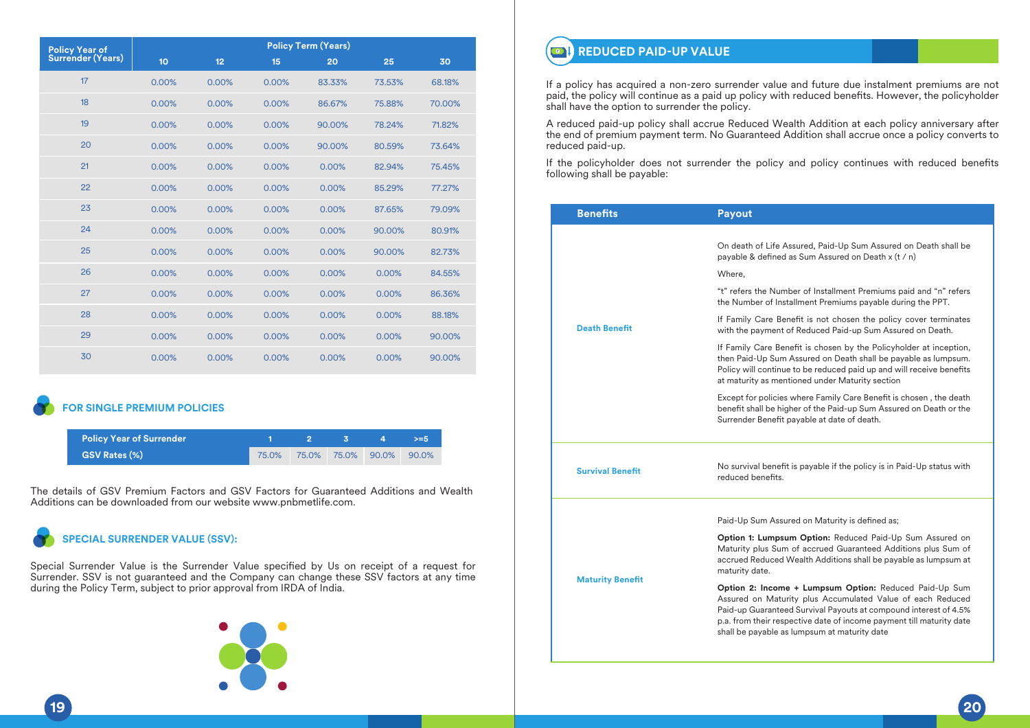|                                             | <b>Policy Term (Years)</b> |       |       |        |        |        |
|---------------------------------------------|----------------------------|-------|-------|--------|--------|--------|
| <b>Policy Year of<br/>Surrender (Years)</b> | 10                         | 12    | 15    | 20     | 25     | 30     |
| 17                                          | 0.00%                      | 0.00% | 0.00% | 83.33% | 73.53% | 68.18% |
| 18                                          | 0.00%                      | 0.00% | 0.00% | 86.67% | 75.88% | 70.00% |
| 19                                          | 0.00%                      | 0.00% | 0.00% | 90.00% | 78.24% | 71.82% |
| 20                                          | 0.00%                      | 0.00% | 0.00% | 90.00% | 80.59% | 73.64% |
| 21                                          | 0.00%                      | 0.00% | 0.00% | 0.00%  | 82.94% | 75.45% |
| 22                                          | 0.00%                      | 0.00% | 0.00% | 0.00%  | 85.29% | 77.27% |
| 23                                          | 0.00%                      | 0.00% | 0.00% | 0.00%  | 87.65% | 79.09% |
| 24                                          | 0.00%                      | 0.00% | 0.00% | 0.00%  | 90.00% | 80.91% |
| 25                                          | 0.00%                      | 0.00% | 0.00% | 0.00%  | 90.00% | 82.73% |
| 26                                          | 0.00%                      | 0.00% | 0.00% | 0.00%  | 0.00%  | 84.55% |
| 27                                          | 0.00%                      | 0.00% | 0.00% | 0.00%  | 0.00%  | 86.36% |
| 28                                          | 0.00%                      | 0.00% | 0.00% | 0.00%  | 0.00%  | 88.18% |
| 29                                          | 0.00%                      | 0.00% | 0.00% | 0.00%  | 0.00%  | 90.00% |
| 30                                          | 0.00%                      | 0.00% | 0.00% | 0.00%  | 0.00%  | 90.00% |

## **FOR SINGLE PREMIUM POLICIES**

| <b>Policy Year of Surrender</b> | 2. | 4                       | $>= 5$   |
|---------------------------------|----|-------------------------|----------|
| <b>GSV Rates (%)</b>            |    | 75.0% 75.0% 75.0% 90.0% | $90.0\%$ |

The details of GSV Premium Factors and GSV Factors for Guaranteed Additions and Wealth Additions can be downloaded from our website www.pnbmetlife.com.<br>. 0.00%

## **SPECIAL SURRENDER VALUE (SSV):**

24 0.00% 0.00% 0.00% 0.00% 90.00% 80.91% Surrender. SSV is not guaranteed and the Company can change these SSV factors at any time during the Policy Term, subject to prior approval from IRDA of India. Special Surrender Value is the Surrender Value specified by Us on receipt of a request for

![](_page_10_Picture_6.jpeg)

#### $\bullet$ REDUCED PAID-UP VALUE

0.00%

23

25 0.00% 0.00% 0.00% 0.00% 90.00% 82.73% If a policy has acquired a non-zero surrender value and future due instalment premiums are not paid, the policy will continue as a paid up policy with reduced benefits. However, the policyholder shall have the option to surrender the policy.

0.00%

0.00%

87.65%

79.09%

0.00%

A reduced paid-up policy shall accrue Reduced Wealth Addition at each policy anniversary after me end or premit<br>reduced paid-up. the end of premium payment term. No Guaranteed Addition shall accrue once a policy converts to<br>reduced poid up

If the policyholder does not surrender the policy and policy continues with reduced benefits 30 following shall be payable:

| <b>Benefits</b>         | Payout                                                                                                                                                                                                                                                                                                           |  |  |  |  |  |
|-------------------------|------------------------------------------------------------------------------------------------------------------------------------------------------------------------------------------------------------------------------------------------------------------------------------------------------------------|--|--|--|--|--|
|                         | On death of Life Assured, Paid-Up Sum Assured on Death shall be<br>payable & defined as Sum Assured on Death x (t / n)                                                                                                                                                                                           |  |  |  |  |  |
|                         | Where,                                                                                                                                                                                                                                                                                                           |  |  |  |  |  |
|                         | "t" refers the Number of Installment Premiums paid and "n" refers<br>the Number of Installment Premiums payable during the PPT.                                                                                                                                                                                  |  |  |  |  |  |
| <b>Death Benefit</b>    | If Family Care Benefit is not chosen the policy cover terminates<br>with the payment of Reduced Paid-up Sum Assured on Death.                                                                                                                                                                                    |  |  |  |  |  |
|                         | If Family Care Benefit is chosen by the Policyholder at inception,<br>then Paid-Up Sum Assured on Death shall be payable as lumpsum.<br>Policy will continue to be reduced paid up and will receive benefits<br>at maturity as mentioned under Maturity section                                                  |  |  |  |  |  |
|                         | Except for policies where Family Care Benefit is chosen, the death<br>benefit shall be higher of the Paid-up Sum Assured on Death or the<br>Surrender Benefit payable at date of death.                                                                                                                          |  |  |  |  |  |
| <b>Survival Benefit</b> | No survival benefit is payable if the policy is in Paid-Up status with<br>reduced benefits.                                                                                                                                                                                                                      |  |  |  |  |  |
|                         | Paid-Up Sum Assured on Maturity is defined as;                                                                                                                                                                                                                                                                   |  |  |  |  |  |
|                         | Option 1: Lumpsum Option: Reduced Paid-Up Sum Assured on<br>Maturity plus Sum of accrued Guaranteed Additions plus Sum of<br>accrued Reduced Wealth Additions shall be payable as lumpsum at<br>maturity date.                                                                                                   |  |  |  |  |  |
| <b>Maturity Benefit</b> | Option 2: Income + Lumpsum Option: Reduced Paid-Up Sum<br>Assured on Maturity plus Accumulated Value of each Reduced<br>Paid-up Guaranteed Survival Payouts at compound interest of 4.5%<br>p.a. from their respective date of income payment till maturity date<br>shall be payable as lumpsum at maturity date |  |  |  |  |  |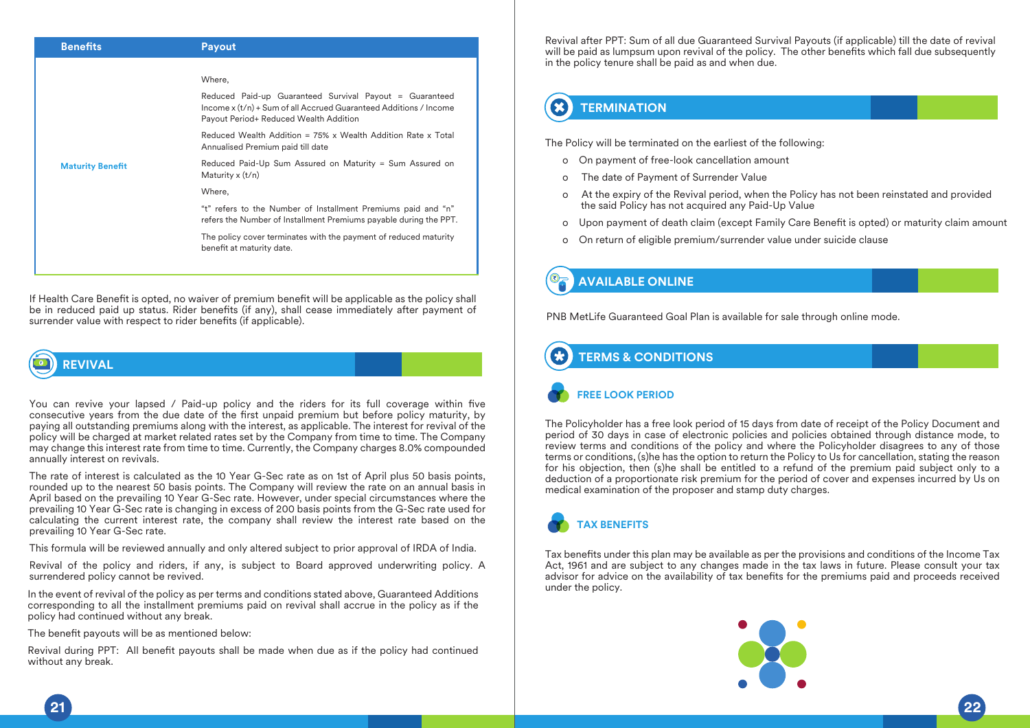| <b>Benefits</b>         | <b>Payout</b>                                                                                                                                                          |
|-------------------------|------------------------------------------------------------------------------------------------------------------------------------------------------------------------|
|                         |                                                                                                                                                                        |
|                         | Where,                                                                                                                                                                 |
|                         | Reduced Paid-up Guaranteed Survival Payout = Guaranteed<br>Income x (t/n) + Sum of all Accrued Guaranteed Additions / Income<br>Payout Period+ Reduced Wealth Addition |
|                         | Reduced Wealth Addition = 75% x Wealth Addition Rate x Total<br>Annualised Premium paid till date                                                                      |
| <b>Maturity Benefit</b> | Reduced Paid-Up Sum Assured on Maturity = Sum Assured on<br>Maturity $x(t/n)$                                                                                          |
|                         | Where,                                                                                                                                                                 |
|                         | "t" refers to the Number of Installment Premiums paid and "n"<br>refers the Number of Installment Premiums payable during the PPT.                                     |
|                         | The policy cover terminates with the payment of reduced maturity<br>benefit at maturity date.                                                                          |
|                         |                                                                                                                                                                        |

If Health Care Benefit is opted, no waiver of premium benefit will be applicable as the policy shall be in reduced paid up status. Rider benefits (if any), shall cease immediately after payment of surrender value with respect to rider benefits (if applicable).

## **REVIVAL**

You can revive your lapsed / Paid-up policy and the riders for its full coverage within five consecutive years from the due date of the first unpaid premium but before policy maturity, by paying all outstanding premiums along with the interest, as applicable. The interest for revival of the policy will be charged at market related rates set by the Company from time to time. The Company may change this interest rate from time to time. Currently, the Company charges 8.0% compounded annually interest on revivals.

The rate of interest is calculated as the 10 Year G-Sec rate as on 1st of April plus 50 basis points, rounded up to the nearest 50 basis points. The Company will review the rate on an annual basis in April based on the prevailing 10 Year G-Sec rate. However, under special circumstances where the prevailing 10 Year G-Sec rate is changing in excess of 200 basis points from the G-Sec rate used for calculating the current interest rate, the company shall review the interest rate based on the prevailing 10 Year G-Sec rate.

This formula will be reviewed annually and only altered subject to prior approval of IRDA of India.

Revival of the policy and riders, if any, is subject to Board approved underwriting policy. A surrendered policy cannot be revived.

In the event of revival of the policy as per terms and conditions stated above, Guaranteed Additions corresponding to all the installment premiums paid on revival shall accrue in the policy as if the policy had continued without any break.

The benefit payouts will be as mentioned below:

Revival during PPT: All benefit payouts shall be made when due as if the policy had continued without any break.

Revival after PPT: Sum of all due Guaranteed Survival Payouts (if applicable) till the date of revival will be paid as lumpsum upon revival of the policy. The other benefits which fall due subsequently in the policy tenure shall be paid as and when due.

#### B **TERMINATION**

The Policy will be terminated on the earliest of the following:

- o On payment of free-look cancellation amount
- o The date of Payment of Surrender Value
- o At the expiry of the Revival period, when the Policy has not been reinstated and provided the said Policy has not acquired any Paid-Up Value
- o Upon payment of death claim (except Family Care Benefit is opted) or maturity claim amount
- o On return of eligible premium/surrender value under suicide clause

## **AVAILABLE ONLINE**

PNB MetLife Guaranteed Goal Plan is available for sale through online mode.

## **TERMS & CONDITIONS**

## **FREE LOOK PERIOD**

The Policyholder has a free look period of 15 days from date of receipt of the Policy Document and period of 30 days in case of electronic policies and policies obtained through distance mode, to review terms and conditions of the policy and where the Policyholder disagrees to any of those terms or conditions, (s)he has the option to return the Policy to Us for cancellation, stating the reason for his objection, then (s)he shall be entitled to a refund of the premium paid subject only to a deduction of a proportionate risk premium for the period of cover and expenses incurred by Us on medical examination of the proposer and stamp duty charges.

![](_page_11_Picture_23.jpeg)

Tax benefits under this plan may be available as per the provisions and conditions of the Income Tax Act, 1961 and are subject to any changes made in the tax laws in future. Please consult your tax advisor for advice on the availability of tax benefits for the premiums paid and proceeds received under the policy.

![](_page_11_Picture_25.jpeg)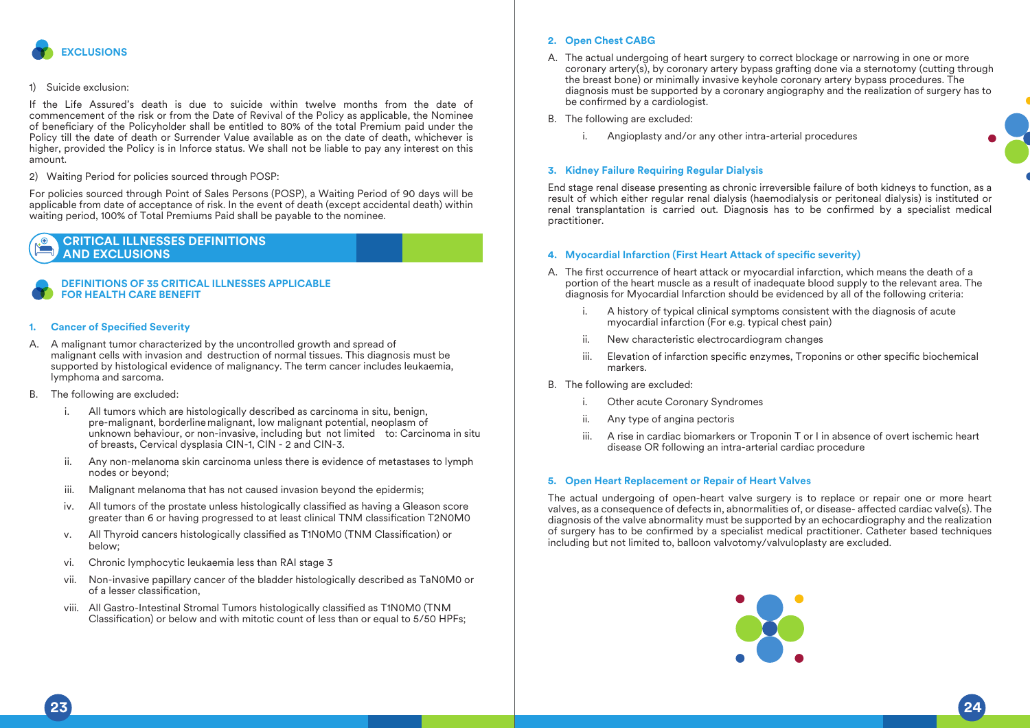![](_page_12_Picture_0.jpeg)

### 1) Suicide exclusion:

If the Life Assured's death is due to suicide within twelve months from the date of commencement of the risk or from the Date of Revival of the Policy as applicable, the Nominee of beneficiary of the Policyholder shall be entitled to 80% of the total Premium paid under the Policy till the date of death or Surrender Value available as on the date of death, whichever is higher, provided the Policy is in Inforce status. We shall not be liable to pay any interest on this amount.

2) Waiting Period for policies sourced through POSP:

For policies sourced through Point of Sales Persons (POSP), a Waiting Period of 90 days will be applicable from date of acceptance of risk. In the event of death (except accidental death) within waiting period, 100% of Total Premiums Paid shall be payable to the nominee.

## **CRITICAL ILLNESSES DEFINITIONS AND EXCLUSIONS**

## **DEFINITIONS OF 35 CRITICAL ILLNESSES APPLICABLE FOR HEALTH CARE BENEFIT**

### **Cancer of Specified Severity**

- A. A malignant tumor characterized by the uncontrolled growth and spread of malignant cells with invasion and destruction of normal tissues. This diagnosis must be supported by histological evidence of malignancy. The term cancer includes leukaemia, lymphoma and sarcoma.
- B. The following are excluded:
	- i. All tumors which are histologically described as carcinoma in situ, benign, pre-malignant, borderline malignant, low malignant potential, neoplasm of unknown behaviour, or non-invasive, including but not limited to: Carcinoma in situ of breasts, Cervical dysplasia CIN-1, CIN - 2 and CIN-3.
	- ii. Any non-melanoma skin carcinoma unless there is evidence of metastases to lymph nodes or beyond;
	- iii. Malignant melanoma that has not caused invasion beyond the epidermis;
	- iv. All tumors of the prostate unless histologically classified as having a Gleason score greater than 6 or having progressed to at least clinical TNM classification T2N0M0
	- v. All Thyroid cancers histologically classified as T1N0M0 (TNM Classification) or below;
	- vi. Chronic lymphocytic leukaemia less than RAI stage 3
	- vii. Non-invasive papillary cancer of the bladder histologically described as TaN0M0 or of a lesser classification.
	- viii. All Gastro-Intestinal Stromal Tumors histologically classified as T1N0M0 (TNM Classification) or below and with mitotic count of less than or equal to 5/50 HPFs;

### **2. Open Chest CABG**

- A. The actual undergoing of heart surgery to correct blockage or narrowing in one or more coronary artery(s), by coronary artery bypass grafting done via a sternotomy (cutting through the breast bone) or minimally invasive keyhole coronary artery bypass procedures. The diagnosis must be supported by a coronary angiography and the realization of surgery has to be confirmed by a cardiologist.
- B. The following are excluded:
	- i. Angioplasty and/or any other intra-arterial procedures

### **3. Kidney Failure Requiring Regular Dialysis**

End stage renal disease presenting as chronic irreversible failure of both kidneys to function, as a result of which either regular renal dialysis (haemodialysis or peritoneal dialysis) is instituted or renal transplantation is carried out. Diagnosis has to be confirmed by a specialist medical practitioner.

#### **4. Myocardial Infarction (First Heart Attack of specific severity)**

- A. The first occurrence of heart attack or myocardial infarction, which means the death of a portion of the heart muscle as a result of inadequate blood supply to the relevant area. The diagnosis for Myocardial Infarction should be evidenced by all of the following criteria:
	- A history of typical clinical symptoms consistent with the diagnosis of acute myocardial infarction (For e.g. typical chest pain)
	- ii. New characteristic electrocardiogram changes
	- iii. Elevation of infarction specific enzymes, Troponins or other specific biochemical markers.
- B. The following are excluded:
	- i. Other acute Coronary Syndromes
	- ii. Any type of angina pectoris
	- iii. A rise in cardiac biomarkers or Troponin T or I in absence of overt ischemic heart disease OR following an intra-arterial cardiac procedure

### **5. Open Heart Replacement or Repair of Heart Valves**

The actual undergoing of open-heart valve surgery is to replace or repair one or more heart valves, as a consequence of defects in, abnormalities of, or disease- affected cardiac valve(s). The diagnosis of the valve abnormality must be supported by an echocardiography and the realization of surgery has to be confirmed by a specialist medical practitioner. Catheter based techniques including but not limited to, balloon valvotomy/valvuloplasty are excluded.

![](_page_12_Picture_35.jpeg)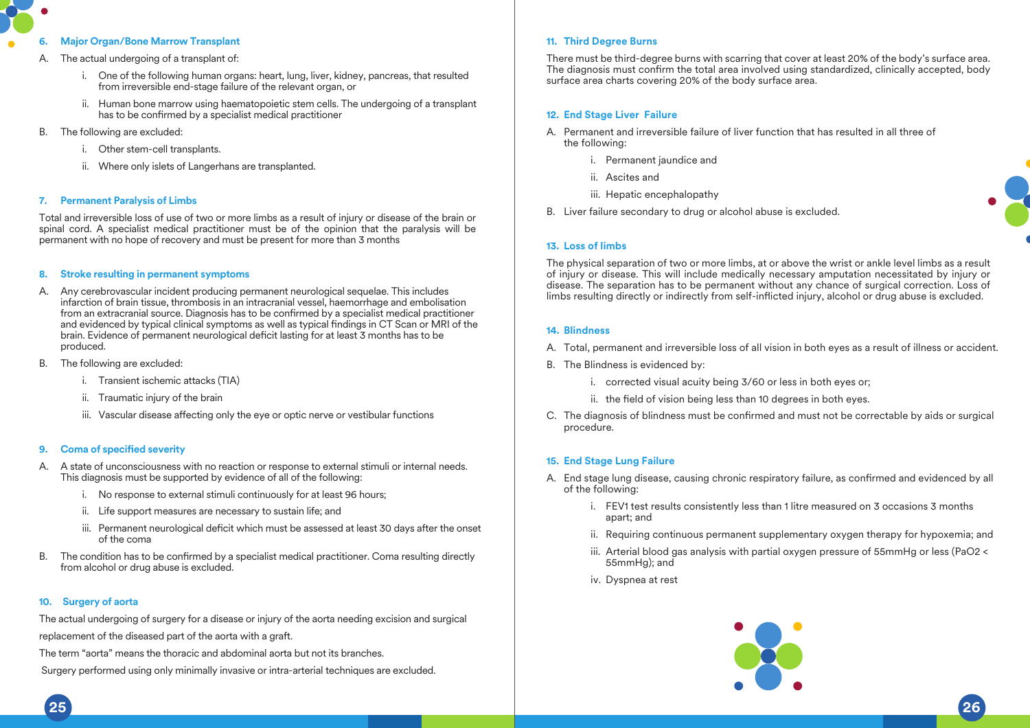## **6. Major Organ/Bone Marrow Transplant**

- A. The actual undergoing of a transplant of:
	- i. One of the following human organs: heart, lung, liver, kidney, pancreas, that resulted from irreversible end-stage failure of the relevant organ, or
	- ii. Human bone marrow using haematopoietic stem cells. The undergoing of a transplant has to be confirmed by a specialist medical practitioner
- B. The following are excluded:
	- i. Other stem-cell transplants.
	- ii. Where only islets of Langerhans are transplanted.

## **7. Permanent Paralysis of Limbs**

Total and irreversible loss of use of two or more limbs as a result of injury or disease of the brain or spinal cord. A specialist medical practitioner must be of the opinion that the paralysis will be permanent with no hope of recovery and must be present for more than 3 months

### **8. Stroke resulting in permanent symptoms**

- A. Any cerebrovascular incident producing permanent neurological sequelae. This includes infarction of brain tissue, thrombosis in an intracranial vessel, haemorrhage and embolisation from an extracranial source. Diagnosis has to be confirmed by a specialist medical practitioner and evidenced by typical clinical symptoms as well as typical findings in CT Scan or MRI of the brain. Evidence of permanent neurological deficit lasting for at least 3 months has to be produced.
- B. The following are excluded:
	- i. Transient ischemic attacks (TIA)
	- ii. Traumatic injury of the brain
	- iii. Vascular disease affecting only the eye or optic nerve or vestibular functions

## **9.** Coma of specified severity

- A. A state of unconsciousness with no reaction or response to external stimuli or internal needs. This diagnosis must be supported by evidence of all of the following:
	- i. No response to external stimuli continuously for at least 96 hours;
	- ii. Life support measures are necessary to sustain life; and
	- iii. Permanent neurological deficit which must be assessed at least 30 days after the onset of the coma
- B. The condition has to be confirmed by a specialist medical practitioner. Coma resulting directly from alcohol or drug abuse is excluded.

## **10. Surgery of aorta**

The actual undergoing of surgery for a disease or injury of the aorta needing excision and surgical replacement of the diseased part of the aorta with a graft.

The term "aorta" means the thoracic and abdominal aorta but not its branches.

Surgery performed using only minimally invasive or intra-arterial techniques are excluded.

### **11. Third Degree Burns**

There must be third-degree burns with scarring that cover at least 20% of the body's surface area. The diagnosis must confirm the total area involved using standardized, clinically accepted, body surface area charts covering 20% of the body surface area.

## **12. End Stage Liver Failure**

- A. Permanent and irreversible failure of liver function that has resulted in all three of the following:
	- i. Permanent jaundice and
	- ii. Ascites and
	- iii. Hepatic encephalopathy
- B. Liver failure secondary to drug or alcohol abuse is excluded.

### **13. Loss of limbs**

The physical separation of two or more limbs, at or above the wrist or ankle level limbs as a result of injury or disease. This will include medically necessary amputation necessitated by injury or disease. The separation has to be permanent without any chance of surgical correction. Loss of limbs resulting directly or indirectly from self-inflicted injury, alcohol or drug abuse is excluded.

### **14. Blindness**

- A. Total, permanent and irreversible loss of all vision in both eyes as a result of illness or accident.
- B. The Blindness is evidenced by:
	- i. corrected visual acuity being 3/60 or less in both eyes or;
	- ii. the field of vision being less than 10 degrees in both eyes.
- C. The diagnosis of blindness must be confirmed and must not be correctable by aids or surgical procedure.

## **15. End Stage Lung Failure**

- A. End stage lung disease, causing chronic respiratory failure, as confirmed and evidenced by all of the following:
	- i. FEV1 test results consistently less than 1 litre measured on 3 occasions 3 months apart; and
	- ii. Requiring continuous permanent supplementary oxygen therapy for hypoxemia; and
	- iii. Arterial blood gas analysis with partial oxygen pressure of 55mmHg or less (PaO2 < 55mmHg); and
	- iv. Dyspnea at rest

![](_page_13_Picture_47.jpeg)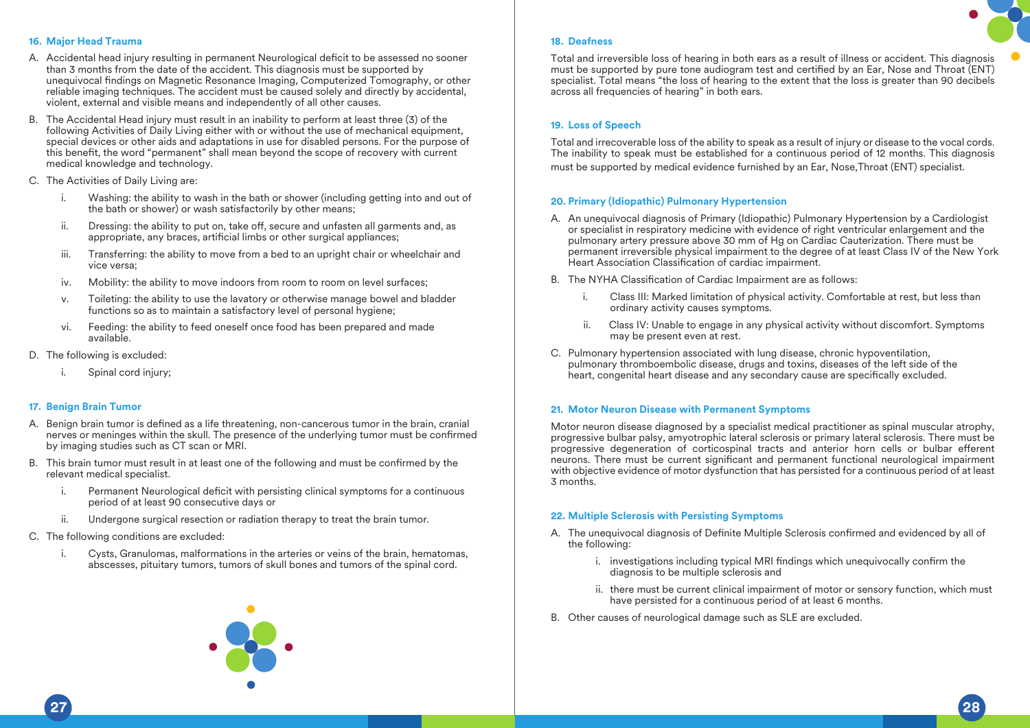## **16. Major Head Trauma**

- A. Accidental head injury resulting in permanent Neurological deficit to be assessed no sooner than 3 months from the date of the accident. This diagnosis must be supported by unequivocal findings on Magnetic Resonance Imaging, Computerized Tomography, or other reliable imaging techniques. The accident must be caused solely and directly by accidental, violent, external and visible means and independently of all other causes.
- B. The Accidental Head injury must result in an inability to perform at least three (3) of the following Activities of Daily Living either with or without the use of mechanical equipment, special devices or other aids and adaptations in use for disabled persons. For the purpose of this benefit, the word "permanent" shall mean beyond the scope of recovery with current medical knowledge and technology.
- C. The Activities of Daily Living are:
	- i. Washing: the ability to wash in the bath or shower (including getting into and out of the bath or shower) or wash satisfactorily by other means;
	- $ii.$  Dressing: the ability to put on, take off, secure and unfasten all garments and, as appropriate, any braces, artificial limbs or other surgical appliances;
	- iii. Transferring: the ability to move from a bed to an upright chair or wheelchair and vice versa;
	- iv. Mobility: the ability to move indoors from room to room on level surfaces;
	- v. Toileting: the ability to use the lavatory or otherwise manage bowel and bladder functions so as to maintain a satisfactory level of personal hygiene:
	- vi. Feeding: the ability to feed oneself once food has been prepared and made available.
- D. The following is excluded:
	- i. Spinal cord injury:

## **17. Benign Brain Tumor**

- A. Benign brain tumor is defined as a life threatening, non-cancerous tumor in the brain, cranial nerves or meninges within the skull. The presence of the underlying tumor must be confirmed by imaging studies such as CT scan or MRI.
- B. This brain tumor must result in at least one of the following and must be confirmed by the relevant medical specialist.
	- i. Permanent Neurological deficit with persisting clinical symptoms for a continuous period of at least 90 consecutive days or
	- ii. Undergone surgical resection or radiation therapy to treat the brain tumor.
- C. The following conditions are excluded:
	- i. Cysts, Granulomas, malformations in the arteries or veins of the brain, hematomas, abscesses, pituitary tumors, tumors of skull bones and tumors of the spinal cord.

![](_page_14_Picture_20.jpeg)

## **19. Loss of Speech**

**18. Deafness** 

Total and irrecoverable loss of the ability to speak as a result of injury or disease to the vocal cords. The inability to speak must be established for a continuous period of 12 months. This diagnosis must be supported by medical evidence furnished by an Ear, Nose,Throat (ENT) specialist.

## **20. Primary (Idiopathic) Pulmonary Hypertension**

- A. An unequivocal diagnosis of Primary (Idiopathic) Pulmonary Hypertension by a Cardiologist or specialist in respiratory medicine with evidence of right ventricular enlargement and the pulmonary artery pressure above 30 mm of Hg on Cardiac Cauterization. There must be permanent irreversible physical impairment to the degree of at least Class IV of the New York Heart Association Classification of cardiac impairment.
- B. The NYHA Classification of Cardiac Impairment are as follows:
	- i. Class III: Marked limitation of physical activity. Comfortable at rest, but less than ordinary activity causes symptoms.
	- ii. Class IV: Unable to engage in any physical activity without discomfort. Symptoms may be present even at rest.
- C. Pulmonary hypertension associated with lung disease, chronic hypoventilation, pulmonary thromboembolic disease, drugs and toxins, diseases of the left side of the heart, congenital heart disease and any secondary cause are specifically excluded.

## **21. Motor Neuron Disease with Permanent Symptoms**

Motor neuron disease diagnosed by a specialist medical practitioner as spinal muscular atrophy, progressive bulbar palsy, amyotrophic lateral sclerosis or primary lateral sclerosis. There must be progressive degeneration of corticospinal tracts and anterior horn cells or bulbar efferent neurons. There must be current significant and permanent functional neurological impairment with objective evidence of motor dysfunction that has persisted for a continuous period of at least 3 months.

## **22. Multiple Sclerosis with Persisting Symptoms**

- A. The unequivocal diagnosis of Definite Multiple Sclerosis confirmed and evidenced by all of the following:
	- i. investigations including typical MRI findings which unequivocally confirm the diagnosis to be multiple sclerosis and
	- ii. there must be current clinical impairment of motor or sensory function, which must have persisted for a continuous period of at least 6 months.
- B. Other causes of neurological damage such as SLE are excluded.

![](_page_14_Picture_36.jpeg)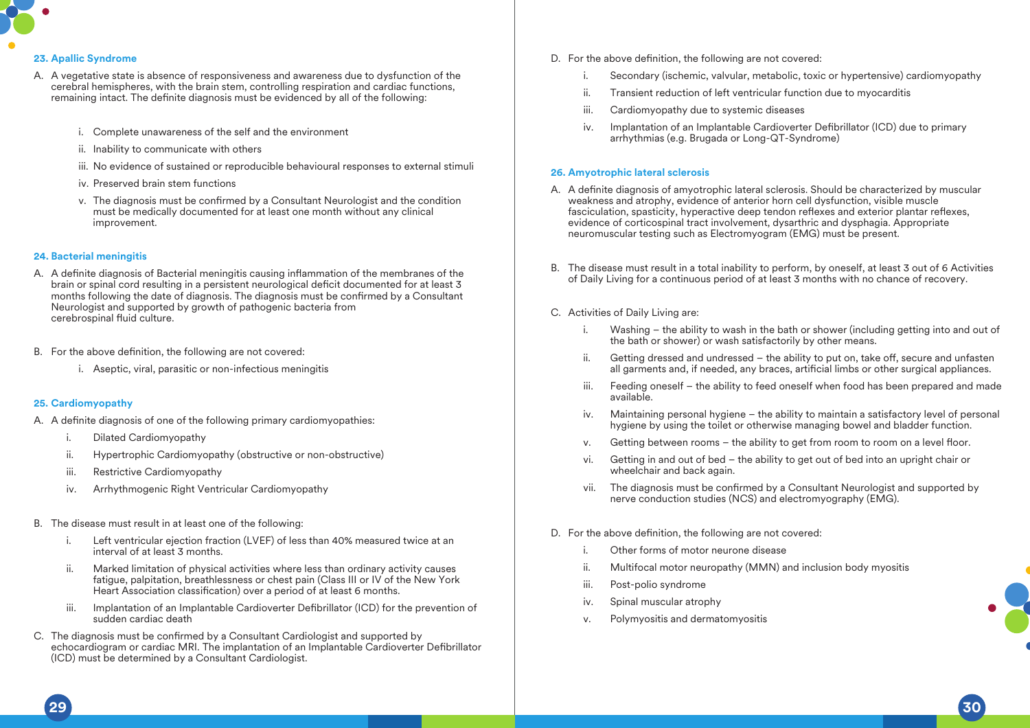![](_page_15_Picture_0.jpeg)

### **23. Apallic Syndrome**

- A. A vegetative state is absence of responsiveness and awareness due to dysfunction of the cerebral hemispheres, with the brain stem, controlling respiration and cardiac functions, remaining intact. The definite diagnosis must be evidenced by all of the following:
	- i. Complete unawareness of the self and the environment
	- ii. Inability to communicate with others
	- iii. No evidence of sustained or reproducible behavioural responses to external stimuli
	- iv. Preserved brain stem functions
	- y. The diagnosis must be confirmed by a Consultant Neurologist and the condition must be medically documented for at least one month without any clinical improvement.

## **24. Bacterial meningitis**

- A. A definite diagnosis of Bacterial meningitis causing inflammation of the membranes of the brain or spinal cord resulting in a persistent neurological deficit documented for at least 3 months following the date of diagnosis. The diagnosis must be confirmed by a Consultant Neurologist and supported by growth of pathogenic bacteria from cerebrospinal fluid culture.
- B. For the above definition, the following are not covered:
	- i. Aseptic, viral, parasitic or non-infectious meningitis

## **25. Cardiomyopathy**

- A. A definite diagnosis of one of the following primary cardiomyopathies:
	- i. Dilated Cardiomyopathy
	- ii. Hypertrophic Cardiomyopathy (obstructive or non-obstructive)
	- iii. Restrictive Cardiomyopathy
	- iv. Arrhythmogenic Right Ventricular Cardiomyopathy
- B. The disease must result in at least one of the following:
	- i. Left ventricular ejection fraction (LVEF) of less than 40% measured twice at an interval of at least 3 months.
	- ii. Marked limitation of physical activities where less than ordinary activity causes fatigue, palpitation, breathlessness or chest pain (Class III or IV of the New York Heart Association classification) over a period of at least 6 months.
	- iii. Implantation of an Implantable Cardioverter Defibrillator (ICD) for the prevention of sudden cardiac death
- C. The diagnosis must be confirmed by a Consultant Cardiologist and supported by echocardiogram or cardiac MRI. The implantation of an Implantable Cardioverter Defibrillator (ICD) must be determined by a Consultant Cardiologist.
- D. For the above definition, the following are not covered:
	- i. Secondary (ischemic, valvular, metabolic, toxic or hypertensive) cardiomyopathy
	- ii. Transient reduction of left ventricular function due to myocarditis
	- iii. Cardiomyopathy due to systemic diseases
	- iv. Implantation of an Implantable Cardioverter Defibrillator (ICD) due to primary arrhythmias (e.g. Brugada or Long-QT-Syndrome)

### **26. Amyotrophic lateral sclerosis**

- A. A definite diagnosis of amyotrophic lateral sclerosis. Should be characterized by muscular weakness and atrophy, evidence of anterior horn cell dysfunction, visible muscle fasciculation, spasticity, hyperactive deep tendon reflexes and exterior plantar reflexes, evidence of corticospinal tract involvement, dysarthric and dysphagia. Appropriate neuromuscular testing such as Electromyogram (EMG) must be present.
- B. The disease must result in a total inability to perform, by oneself, at least 3 out of 6 Activities of Daily Living for a continuous period of at least 3 months with no chance of recovery.
- C. Activities of Daily Living are:
	- i. Washing the ability to wash in the bath or shower (including getting into and out of the bath or shower) or wash satisfactorily by other means.
	- ii. Getting dressed and undressed  $-$  the ability to put on, take off, secure and unfasten all garments and, if needed, any braces, artificial limbs or other surgical appliances.
	- iii. Feeding oneself the ability to feed oneself when food has been prepared and made available.
	- iv. Maintaining personal hygiene the ability to maintain a satisfactory level of personal hygiene by using the toilet or otherwise managing bowel and bladder function.
	- v. Getting between rooms  $-$  the ability to get from room to room on a level floor.
	- vi. Getting in and out of bed the ability to get out of bed into an upright chair or wheelchair and back again.
	- vii. The diagnosis must be confirmed by a Consultant Neurologist and supported by nerve conduction studies (NCS) and electromyography (EMG).
- D. For the above definition, the following are not covered:
	- i. Other forms of motor neurone disease
	- ii. Multifocal motor neuropathy (MMN) and inclusion body myositis
	- iii. Post-polio syndrome

**29 30**

- iv. Spinal muscular atrophy
- v. Polymyositis and dermatomyositis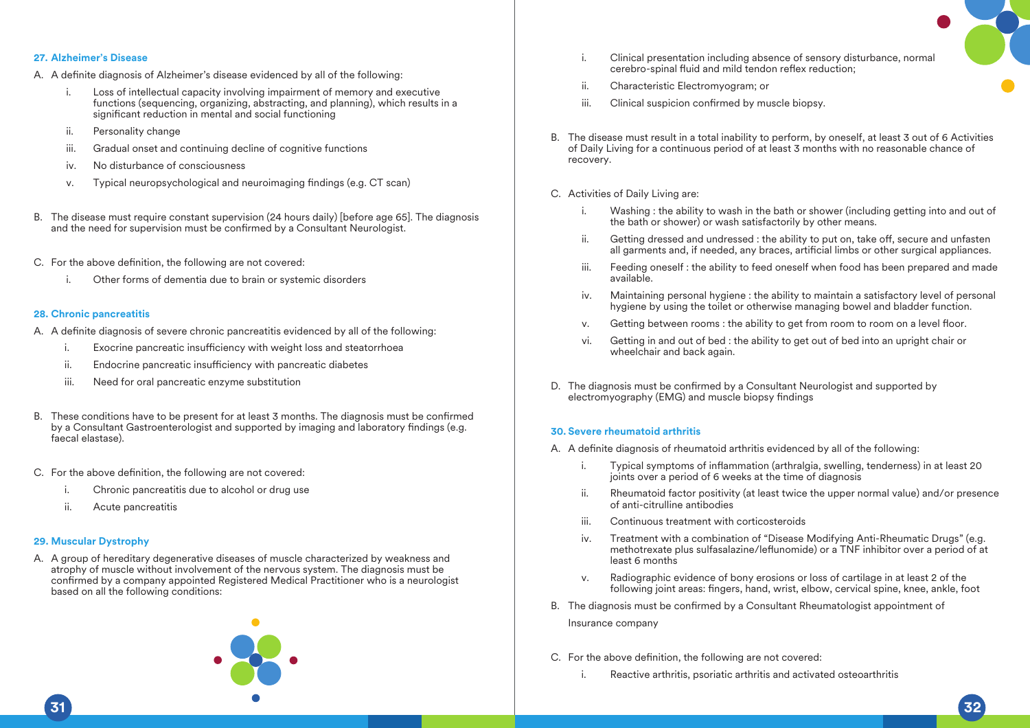![](_page_16_Picture_0.jpeg)

### **27. Alzheimer's Disease**

- A. A definite diagnosis of Alzheimer's disease evidenced by all of the following:
	- i. Loss of intellectual capacity involving impairment of memory and executive functions (sequencing, organizing, abstracting, and planning), which results in a significant reduction in mental and social functioning
	- ii. Personality change
	- iii. Gradual onset and continuing decline of cognitive functions
	- iv. No disturbance of consciousness
	- v. Typical neuropsychological and neuroimaging findings (e.g. CT scan)
- B. The disease must require constant supervision (24 hours daily) [before age 65]. The diagnosis and the need for supervision must be confirmed by a Consultant Neurologist.
- C. For the above definition, the following are not covered:
	- i. Other forms of dementia due to brain or systemic disorders

### **28. Chronic pancreatitis**

- A. A definite diagnosis of severe chronic pancreatitis evidenced by all of the following:
	- i. Exocrine pancreatic insufficiency with weight loss and steatorrhoea
	- ii. Endocrine pancreatic insufficiency with pancreatic diabetes
	- iii. Need for oral pancreatic enzyme substitution
- B. These conditions have to be present for at least 3 months. The diagnosis must be confirmed by a Consultant Gastroenterologist and supported by imaging and laboratory findings (e.g. faecal elastase).
- C. For the above definition, the following are not covered:
	- i. Chronic pancreatitis due to alcohol or drug use
	- ii. Acute pancreatitis

### **29. Muscular Dystrophy**

A. A group of hereditary degenerative diseases of muscle characterized by weakness and atrophy of muscle without involvement of the nervous system. The diagnosis must be confirmed by a company appointed Registered Medical Practitioner who is a neurologist based on all the following conditions:

![](_page_16_Picture_22.jpeg)

- i. Clinical presentation including absence of sensory disturbance, normal cerebro-spinal fluid and mild tendon reflex reduction;
- ii. Characteristic Electromyogram; or
- iii. Clinical suspicion confirmed by muscle biopsy.
- B. The disease must result in a total inability to perform, by oneself, at least 3 out of 6 Activities of Daily Living for a continuous period of at least 3 months with no reasonable chance of recovery.
- C. Activities of Daily Living are:
	- i. Washing : the ability to wash in the bath or shower (including getting into and out of the bath or shower) or wash satisfactorily by other means.
	- $ii.$  Getting dressed and undressed : the ability to put on, take off, secure and unfasten all garments and, if needed, any braces, artificial limbs or other surgical appliances.
	- iii. Feeding oneself : the ability to feed oneself when food has been prepared and made available.
	- iv. Maintaining personal hygiene : the ability to maintain a satisfactory level of personal hygiene by using the toilet or otherwise managing bowel and bladder function.
	- v. Getting between rooms: the ability to get from room to room on a level floor.
	- vi. Getting in and out of bed : the ability to get out of bed into an upright chair or wheelchair and back again.
- D. The diagnosis must be confirmed by a Consultant Neurologist and supported by electromyography (EMG) and muscle biopsy findings

### **30. Severe rheumatoid arthritis**

- A. A definite diagnosis of rheumatoid arthritis evidenced by all of the following:
	- i. Typical symptoms of inflammation (arthralgia, swelling, tenderness) in at least 20 joints over a period of 6 weeks at the time of diagnosis
	- ii. Rheumatoid factor positivity (at least twice the upper normal value) and/or presence of anti-citrulline antibodies
	- iii. Continuous treatment with corticosteroids
	- iv. Treatment with a combination of "Disease Modifying Anti-Rheumatic Drugs" (e.g. methotrexate plus sulfasalazine/leflunomide) or a TNF inhibitor over a period of at least 6 months
	- v. Radiographic evidence of bony erosions or loss of cartilage in at least 2 of the following joint areas: fingers, hand, wrist, elbow, cervical spine, knee, ankle, foot
- B. The diagnosis must be confirmed by a Consultant Rheumatologist appointment of

Insurance company

- C. For the above definition, the following are not covered:
	- i. Reactive arthritis, psoriatic arthritis and activated osteoarthritis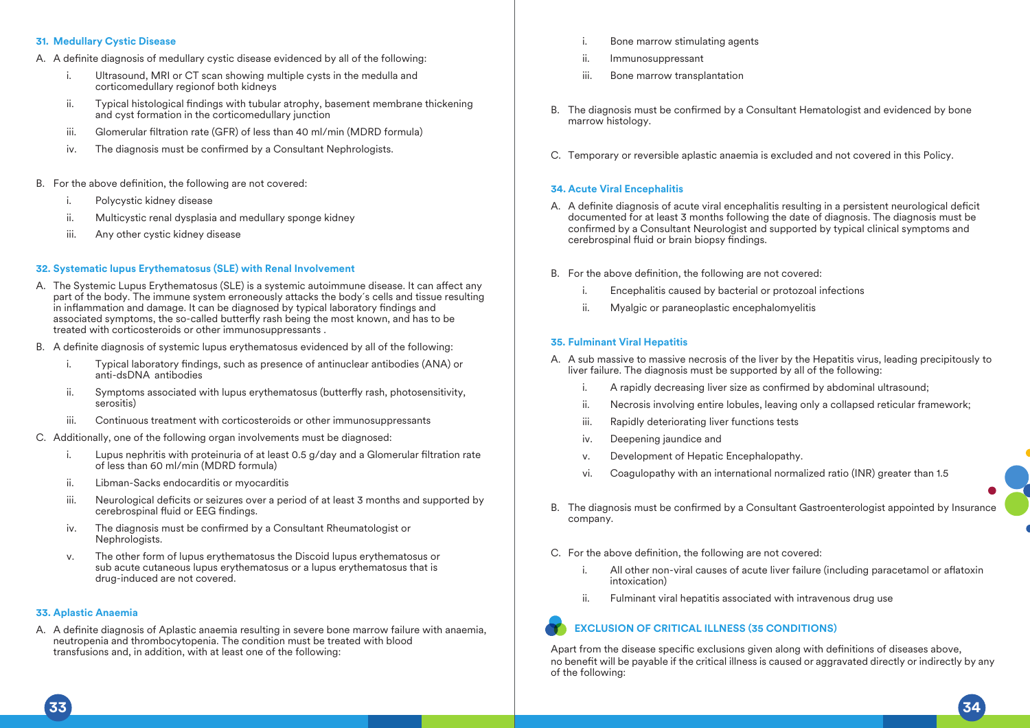## **31. Medullary Cystic Disease**

- A. A definite diagnosis of medullary cystic disease evidenced by all of the following:
	- Ultrasound, MRI or CT scan showing multiple cysts in the medulla and corticomedullary regionof both kidneys
	- ii. Typical histological findings with tubular atrophy, basement membrane thickening and cyst formation in the corticomedullary junction
	- iii. Glomerular filtration rate (GFR) of less than 40 ml/min (MDRD formula)
	- iv. The diagnosis must be confirmed by a Consultant Nephrologists.
- B. For the above definition, the following are not covered:
	- Polycystic kidney disease
	- ii. Multicystic renal dysplasia and medullary sponge kidney
	- iii. Any other cystic kidney disease

## **32. Systematic lupus Erythematosus (SLE) with Renal Involvement**

- A. The Systemic Lupus Erythematosus (SLE) is a systemic autoimmune disease. It can affect any part of the body. The immune system erroneously attacks the body´s cells and tissue resulting  $\overline{a}$  in inflammation and damage. It can be diagnosed by typical laboratory findings and associated symptoms, the so-called butterfly rash being the most known, and has to be treated with corticosteroids or other immunosuppressants .
- B. A definite diagnosis of systemic lupus erythematosus evidenced by all of the following:
	- Typical laboratory findings, such as presence of antinuclear antibodies (ANA) or anti-dsDNA antibodies
	- ii. Symptoms associated with lupus erythematosus (butterfly rash, photosensitivity, serositis)
	- iii. Continuous treatment with corticosteroids or other immunosuppressants
- C. Additionally, one of the following organ involvements must be diagnosed:
	- i. Lupus nephritis with proteinuria of at least  $0.5$  g/day and a Glomerular filtration rate of less than 60 ml/min (MDRD formula)
	- ii. Libman-Sacks endocarditis or myocarditis
	- iii. Neurological deficits or seizures over a period of at least 3 months and supported by cerebrospinal fluid or EEG findings.
	- iv. The diagnosis must be confirmed by a Consultant Rheumatologist or Nephrologists.
	- v. The other form of lupus erythematosus the Discoid lupus erythematosus or sub acute cutaneous lupus erythematosus or a lupus erythematosus that is drug-induced are not covered.

### **33. Aplastic Anaemia**

A. A definite diagnosis of Aplastic anaemia resulting in severe bone marrow failure with anaemia, neutropenia and thrombocytopenia. The condition must be treated with blood transfusions and, in addition, with at least one of the following:

- i. Bone marrow stimulating agents
- ii. Immunosuppressant
- iii. Bone marrow transplantation
- B. The diagnosis must be confirmed by a Consultant Hematologist and evidenced by bone marrow histology.
- C. Temporary or reversible aplastic anaemia is excluded and not covered in this Policy.

### **34. Acute Viral Encephalitis**

- A. A definite diagnosis of acute viral encephalitis resulting in a persistent neurological deficit documented for at least 3 months following the date of diagnosis. The diagnosis must be confirmed by a Consultant Neurologist and supported by typical clinical symptoms and cerebrospinal fluid or brain biopsy findings.
- B. For the above definition, the following are not covered:
	- i. Encephalitis caused by bacterial or protozoal infections
	- ii. Myalgic or paraneoplastic encephalomyelitis

### **35. Fulminant Viral Hepatitis**

- A. A sub massive to massive necrosis of the liver by the Hepatitis virus, leading precipitously to liver failure. The diagnosis must be supported by all of the following:
	- i. A rapidly decreasing liver size as confirmed by abdominal ultrasound;
	- ii. Necrosis involving entire lobules, leaving only a collapsed reticular framework;
	- iii. Rapidly deteriorating liver functions tests
	- iv. Deepening jaundice and
	- v. Development of Hepatic Encephalopathy.
	- vi. Coagulopathy with an international normalized ratio (INR) greater than 1.5
- B. The diagnosis must be confirmed by a Consultant Gastroenterologist appointed by Insurance company.

#### C. For the above definition, the following are not covered:

- i. All other non-viral causes of acute liver failure (including paracetamol or aflatoxin intoxication)
- ii. Fulminant viral hepatitis associated with intravenous drug use

## **EXCLUSION OF CRITICAL ILLNESS (35 CONDITIONS)**

Apart from the disease specific exclusions given along with definitions of diseases above, no benefit will be payable if the critical illness is caused or aggravated directly or indirectly by any of the following:

**33 34**